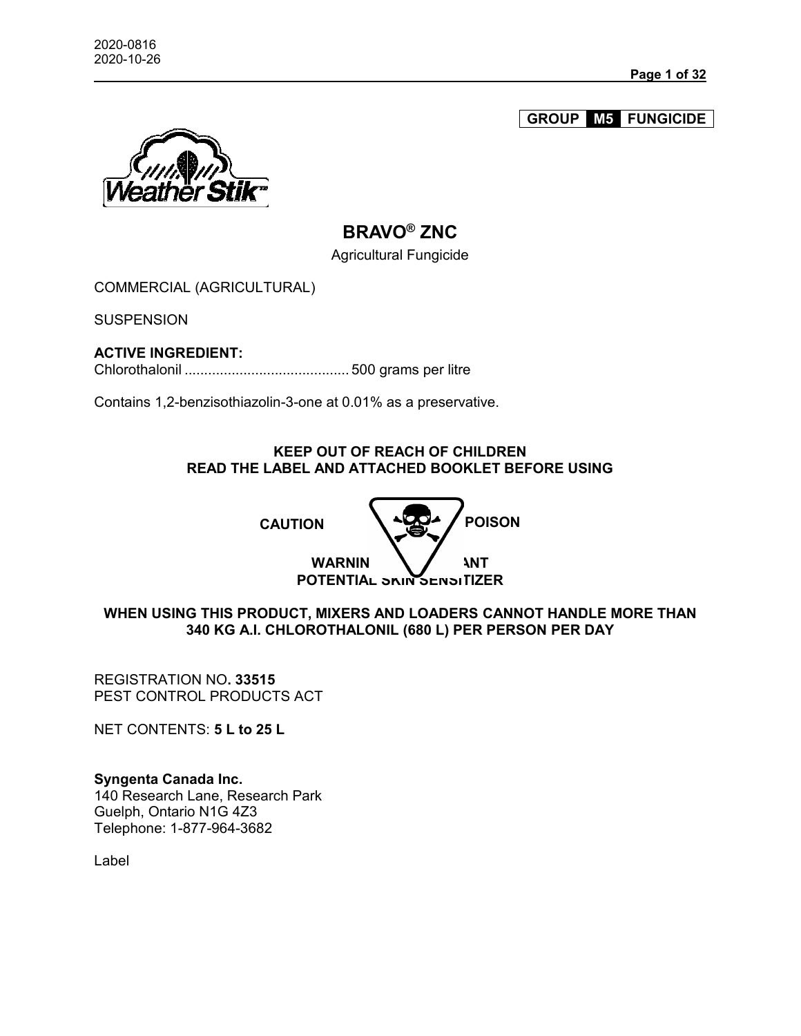**GROUP M5 FUNGICIDE**



# **BRAVO® ZNC**

Agricultural Fungicide

COMMERCIAL (AGRICULTURAL)

**SUSPENSION** 

# **ACTIVE INGREDIENT:**

Chlorothalonil .......................................... 500 grams per litre

Contains 1,2-benzisothiazolin-3-one at 0.01% as a preservative.

### **KEEP OUT OF REACH OF CHILDREN READ THE LABEL AND ATTACHED BOOKLET BEFORE USING**



**WHEN USING THIS PRODUCT, MIXERS AND LOADERS CANNOT HANDLE MORE THAN 340 KG A.I. CHLOROTHALONIL (680 L) PER PERSON PER DAY**

REGISTRATION NO**. 33515** PEST CONTROL PRODUCTS ACT

NET CONTENTS: **5 L to 25 L**

**Syngenta Canada Inc.** 140 Research Lane, Research Park Guelph, Ontario N1G 4Z3 Telephone: 1-877-964-3682

Label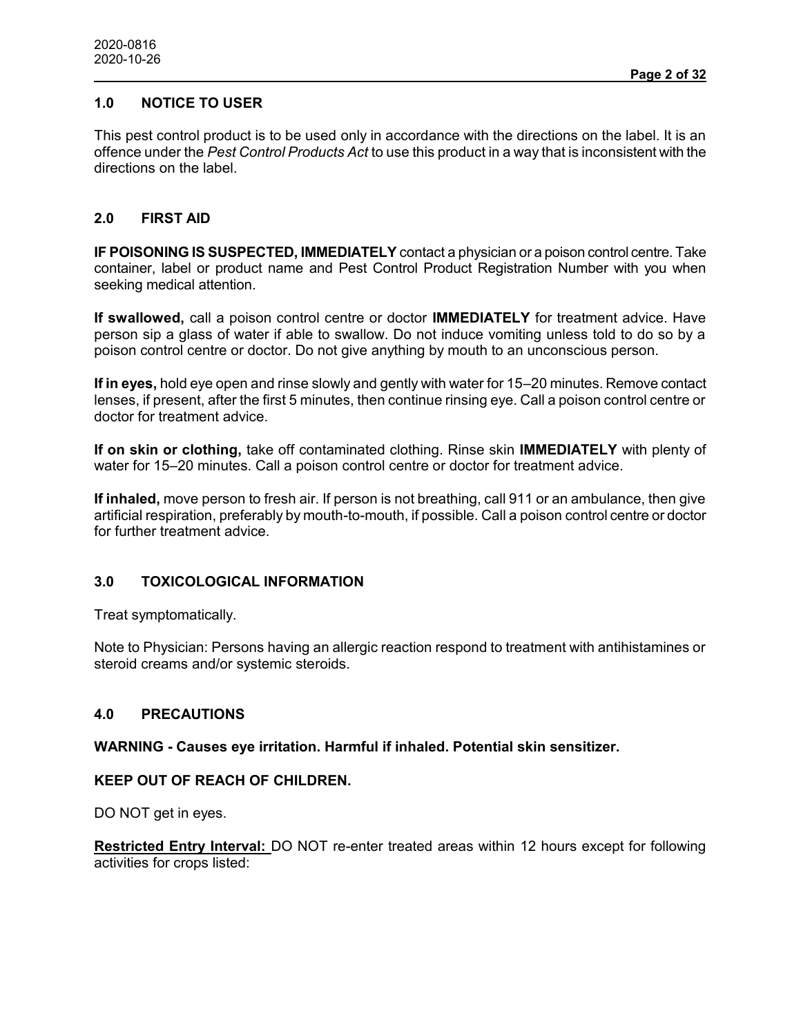# **1.0 NOTICE TO USER**

This pest control product is to be used only in accordance with the directions on the label. It is an offence under the *Pest Control Products Act* to use this product in a way that is inconsistent with the directions on the label.

# **2.0 FIRST AID**

**IF POISONING IS SUSPECTED, IMMEDIATELY** contact a physician or a poison control centre. Take container, label or product name and Pest Control Product Registration Number with you when seeking medical attention.

**If swallowed,** call a poison control centre or doctor **IMMEDIATELY** for treatment advice. Have person sip a glass of water if able to swallow. Do not induce vomiting unless told to do so by a poison control centre or doctor. Do not give anything by mouth to an unconscious person.

**If in eyes,** hold eye open and rinse slowly and gently with water for 15–20 minutes. Remove contact lenses, if present, after the first 5 minutes, then continue rinsing eye. Call a poison control centre or doctor for treatment advice.

**If on skin or clothing,** take off contaminated clothing. Rinse skin **IMMEDIATELY** with plenty of water for 15–20 minutes. Call a poison control centre or doctor for treatment advice.

**If inhaled,** move person to fresh air. If person is not breathing, call 911 or an ambulance, then give artificial respiration, preferably by mouth-to-mouth, if possible. Call a poison control centre or doctor for further treatment advice.

## **3.0 TOXICOLOGICAL INFORMATION**

Treat symptomatically.

Note to Physician: Persons having an allergic reaction respond to treatment with antihistamines or steroid creams and/or systemic steroids.

### **4.0 PRECAUTIONS**

**WARNING - Causes eye irritation. Harmful if inhaled. Potential skin sensitizer.**

#### **KEEP OUT OF REACH OF CHILDREN.**

DO NOT get in eyes.

**Restricted Entry Interval:** DO NOT re-enter treated areas within 12 hours except for following activities for crops listed: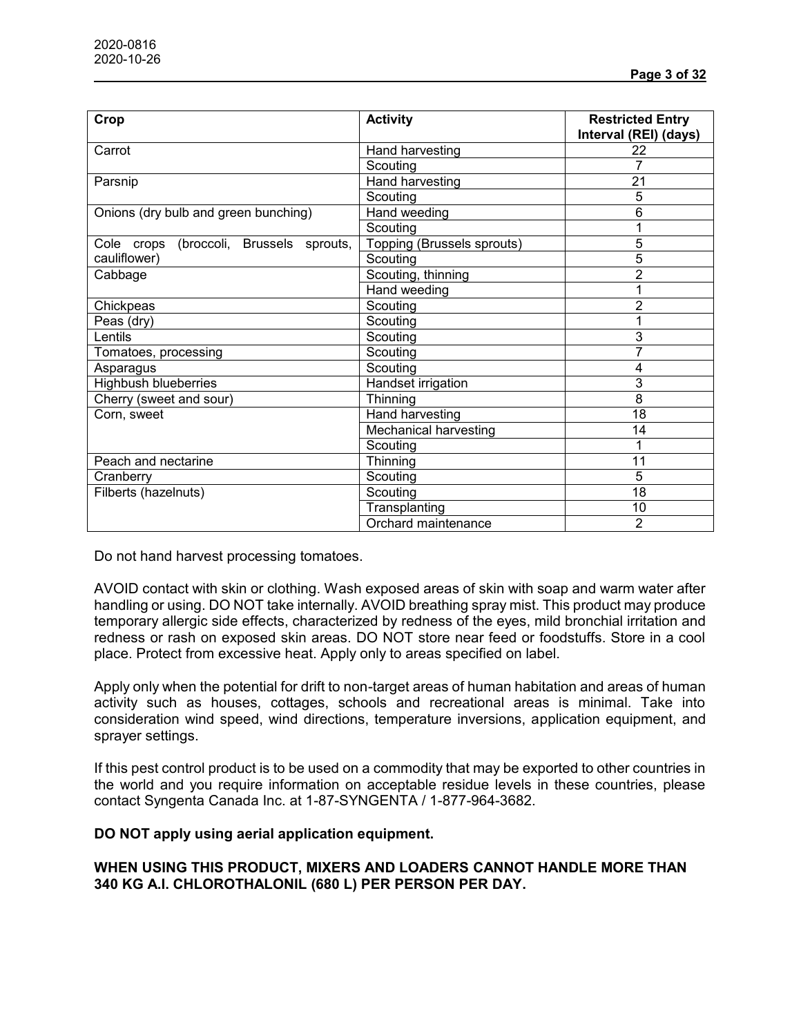| Crop                                       | <b>Activity</b>            | <b>Restricted Entry</b><br>Interval (REI) (days) |
|--------------------------------------------|----------------------------|--------------------------------------------------|
| Carrot                                     | Hand harvesting            | 22                                               |
|                                            | Scouting                   |                                                  |
| Parsnip                                    | Hand harvesting            | 21                                               |
|                                            | Scouting                   | 5                                                |
| Onions (dry bulb and green bunching)       | Hand weeding               | 6                                                |
|                                            | Scouting                   |                                                  |
| (broccoli, Brussels sprouts,<br>Cole crops | Topping (Brussels sprouts) | 5                                                |
| cauliflower)                               | Scouting                   | 5                                                |
| Cabbage                                    | Scouting, thinning         | $\overline{2}$                                   |
|                                            | Hand weeding               |                                                  |
| Chickpeas                                  | Scouting                   | $\overline{2}$                                   |
| Peas (dry)                                 | Scouting                   | 1                                                |
| Lentils                                    | Scouting                   | 3                                                |
| Tomatoes, processing                       | Scouting                   | 7                                                |
| Asparagus                                  | Scouting                   | 4                                                |
| <b>Highbush blueberries</b>                | Handset irrigation         | 3                                                |
| Cherry (sweet and sour)                    | Thinning                   | 8                                                |
| Corn, sweet                                | Hand harvesting            | 18                                               |
|                                            | Mechanical harvesting      | 14                                               |
|                                            | Scouting                   | 1                                                |
| Peach and nectarine                        | Thinning                   | 11                                               |
| Cranberry                                  | Scouting                   | 5                                                |
| Filberts (hazelnuts)                       | Scouting                   | 18                                               |
|                                            | Transplanting              | 10                                               |
|                                            | Orchard maintenance        | $\overline{2}$                                   |

Do not hand harvest processing tomatoes.

AVOID contact with skin or clothing. Wash exposed areas of skin with soap and warm water after handling or using. DO NOT take internally. AVOID breathing spray mist. This product may produce temporary allergic side effects, characterized by redness of the eyes, mild bronchial irritation and redness or rash on exposed skin areas. DO NOT store near feed or foodstuffs. Store in a cool place. Protect from excessive heat. Apply only to areas specified on label.

Apply only when the potential for drift to non-target areas of human habitation and areas of human activity such as houses, cottages, schools and recreational areas is minimal. Take into consideration wind speed, wind directions, temperature inversions, application equipment, and sprayer settings.

If this pest control product is to be used on a commodity that may be exported to other countries in the world and you require information on acceptable residue levels in these countries, please contact Syngenta Canada Inc. at 1-87-SYNGENTA / 1-877-964-3682.

#### **DO NOT apply using aerial application equipment.**

## **WHEN USING THIS PRODUCT, MIXERS AND LOADERS CANNOT HANDLE MORE THAN 340 KG A.I. CHLOROTHALONIL (680 L) PER PERSON PER DAY.**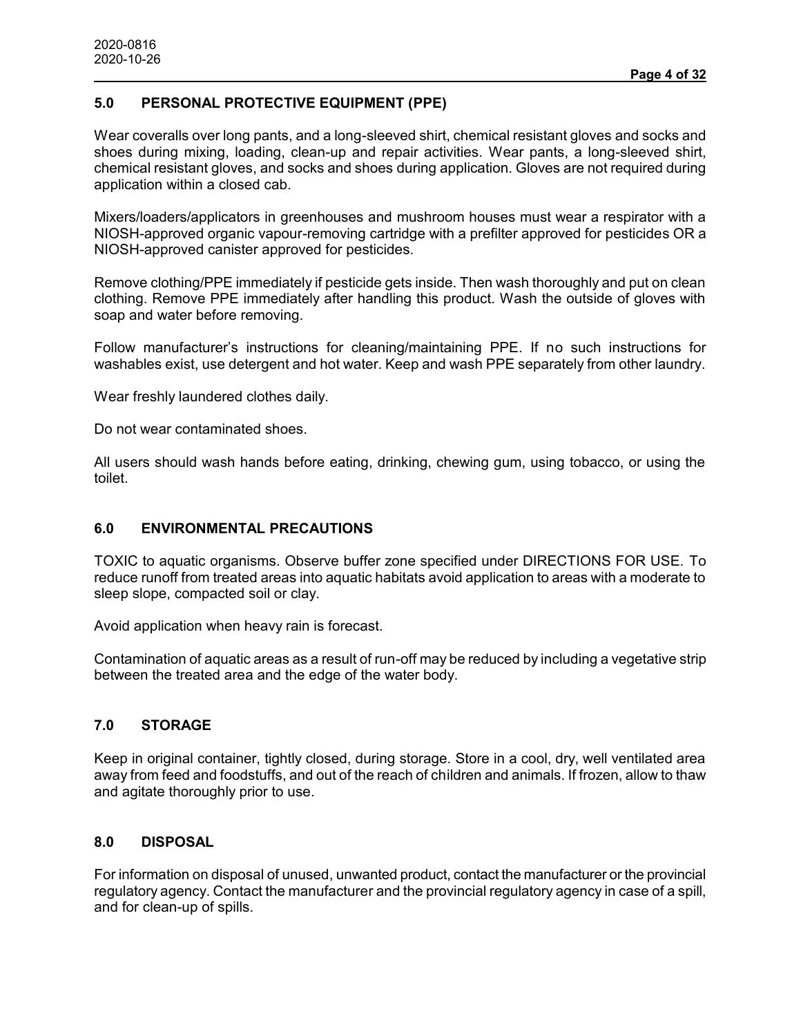## **5.0 PERSONAL PROTECTIVE EQUIPMENT (PPE)**

Wear coveralls over long pants, and a long-sleeved shirt, chemical resistant gloves and socks and shoes during mixing, loading, clean-up and repair activities. Wear pants, a long-sleeved shirt, chemical resistant gloves, and socks and shoes during application. Gloves are not required during application within a closed cab.

Mixers/loaders/applicators in greenhouses and mushroom houses must wear a respirator with a NIOSH-approved organic vapour-removing cartridge with a prefilter approved for pesticides OR a NIOSH-approved canister approved for pesticides.

Remove clothing/PPE immediately if pesticide gets inside. Then wash thoroughly and put on clean clothing. Remove PPE immediately after handling this product. Wash the outside of gloves with soap and water before removing.

Follow manufacturer's instructions for cleaning/maintaining PPE. If no such instructions for washables exist, use detergent and hot water. Keep and wash PPE separately from other laundry.

Wear freshly laundered clothes daily.

Do not wear contaminated shoes.

All users should wash hands before eating, drinking, chewing gum, using tobacco, or using the toilet.

#### **6.0 ENVIRONMENTAL PRECAUTIONS**

TOXIC to aquatic organisms. Observe buffer zone specified under DIRECTIONS FOR USE. To reduce runoff from treated areas into aquatic habitats avoid application to areas with a moderate to sleep slope, compacted soil or clay.

Avoid application when heavy rain is forecast.

Contamination of aquatic areas as a result of run-off may be reduced by including a vegetative strip between the treated area and the edge of the water body.

## **7.0 STORAGE**

Keep in original container, tightly closed, during storage. Store in a cool, dry, well ventilated area away from feed and foodstuffs, and out of the reach of children and animals. If frozen, allow to thaw and agitate thoroughly prior to use.

### **8.0 DISPOSAL**

For information on disposal of unused, unwanted product, contact the manufacturer or the provincial regulatory agency. Contact the manufacturer and the provincial regulatory agency in case of a spill, and for clean-up of spills.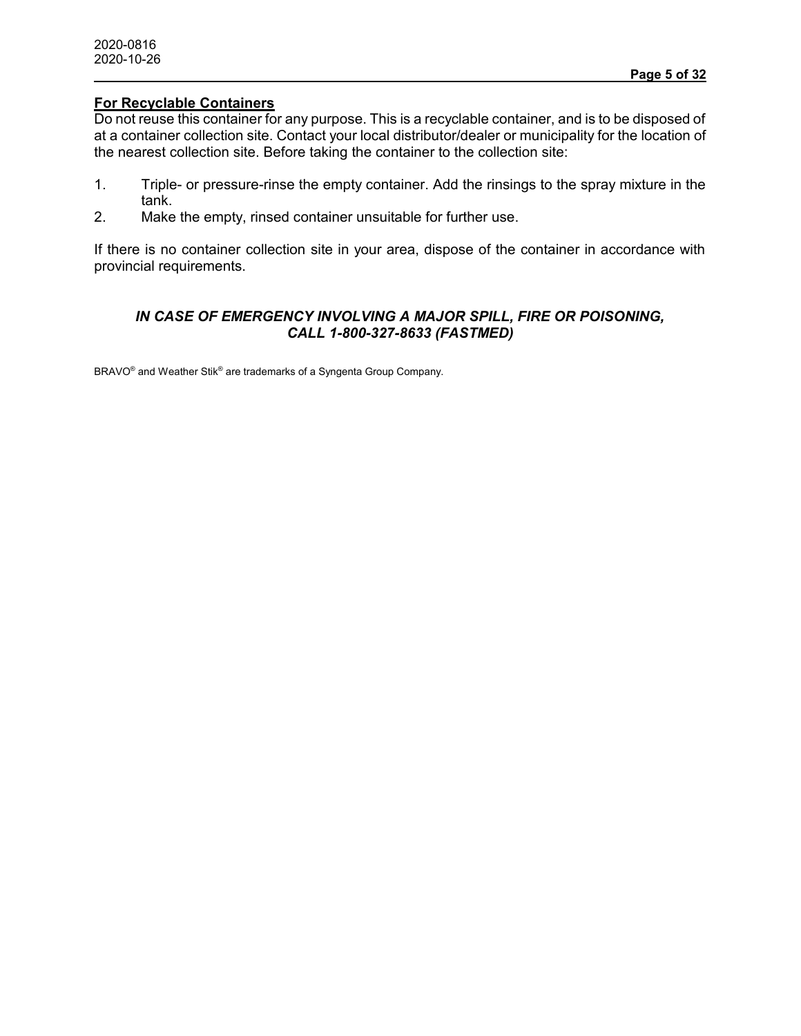## **For Recyclable Containers**

Do not reuse this container for any purpose. This is a recyclable container, and is to be disposed of at a container collection site. Contact your local distributor/dealer or municipality for the location of the nearest collection site. Before taking the container to the collection site:

- 1. Triple- or pressure-rinse the empty container. Add the rinsings to the spray mixture in the tank.
- 2. Make the empty, rinsed container unsuitable for further use.

If there is no container collection site in your area, dispose of the container in accordance with provincial requirements.

### *IN CASE OF EMERGENCY INVOLVING A MAJOR SPILL, FIRE OR POISONING, CALL 1-800-327-8633 (FASTMED)*

BRAVO® and Weather Stik® are trademarks of a Syngenta Group Company.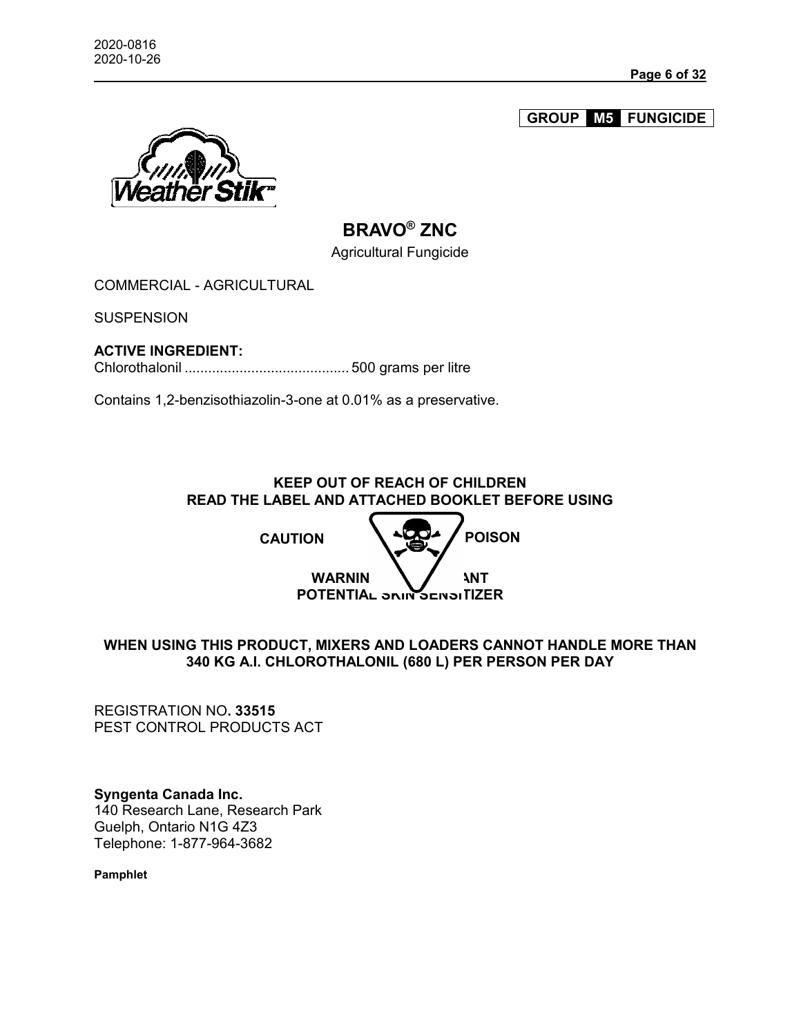**GROUP M5 FUNGICIDE**



# **BRAVO® ZNC**

Agricultural Fungicide

COMMERCIAL - AGRICULTURAL

**SUSPENSION** 

### **ACTIVE INGREDIENT:**

Chlorothalonil .......................................... 500 grams per litre

Contains 1,2-benzisothiazolin-3-one at 0.01% as a preservative.

**KEEP OUT OF REACH OF CHILDREN READ THE LABEL AND ATTACHED BOOKLET BEFORE USING**



# **WHEN USING THIS PRODUCT, MIXERS AND LOADERS CANNOT HANDLE MORE THAN 340 KG A.I. CHLOROTHALONIL (680 L) PER PERSON PER DAY**

REGISTRATION NO**. 33515** PEST CONTROL PRODUCTS ACT

**Syngenta Canada Inc.** 140 Research Lane, Research Park Guelph, Ontario N1G 4Z3 Telephone: 1-877-964-3682

**Pamphlet**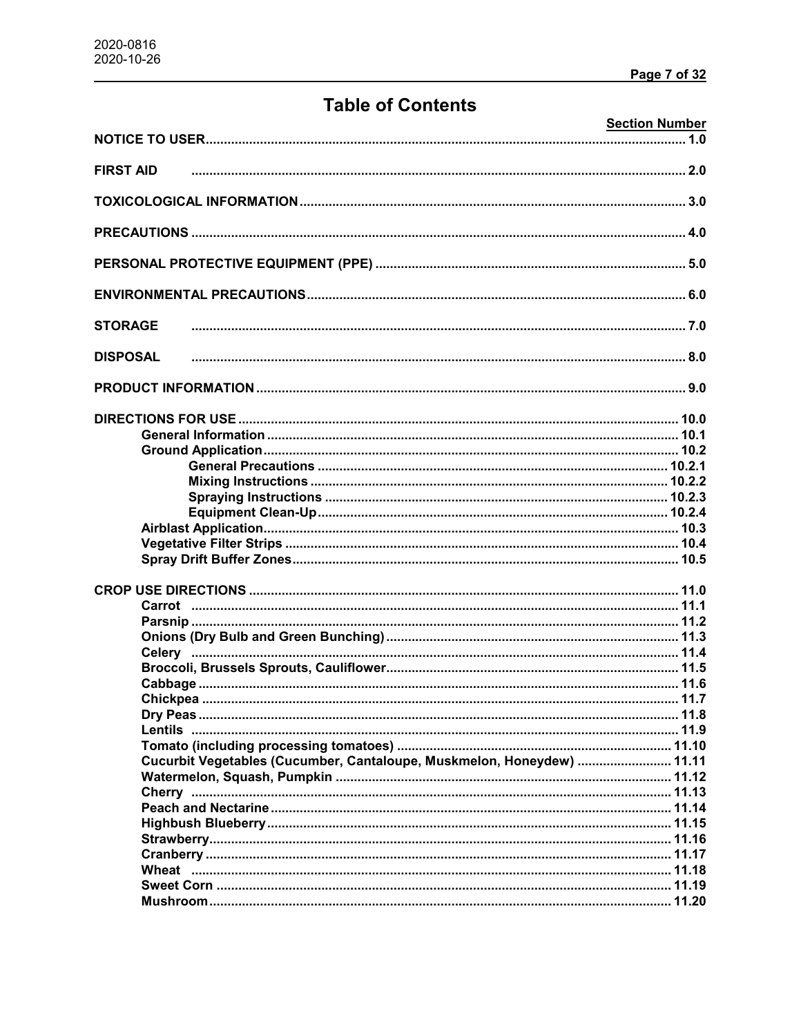# **Table of Contents**

|                                                                        | <b>Section Number</b> |
|------------------------------------------------------------------------|-----------------------|
|                                                                        |                       |
| <b>FIRST AID</b>                                                       |                       |
|                                                                        |                       |
|                                                                        |                       |
|                                                                        |                       |
|                                                                        |                       |
|                                                                        |                       |
| <b>STORAGE</b>                                                         |                       |
| <b>DISPOSAL</b>                                                        |                       |
|                                                                        |                       |
|                                                                        |                       |
|                                                                        |                       |
|                                                                        |                       |
|                                                                        |                       |
|                                                                        |                       |
|                                                                        |                       |
|                                                                        |                       |
|                                                                        |                       |
|                                                                        |                       |
|                                                                        |                       |
|                                                                        |                       |
|                                                                        |                       |
|                                                                        |                       |
|                                                                        |                       |
|                                                                        |                       |
|                                                                        |                       |
|                                                                        |                       |
|                                                                        |                       |
|                                                                        |                       |
|                                                                        |                       |
|                                                                        |                       |
| Cucurbit Vegetables (Cucumber, Cantaloupe, Muskmelon, Honeydew)  11.11 |                       |
|                                                                        |                       |
|                                                                        |                       |
|                                                                        |                       |
|                                                                        |                       |
|                                                                        |                       |
|                                                                        |                       |
|                                                                        |                       |
|                                                                        |                       |
|                                                                        |                       |
|                                                                        |                       |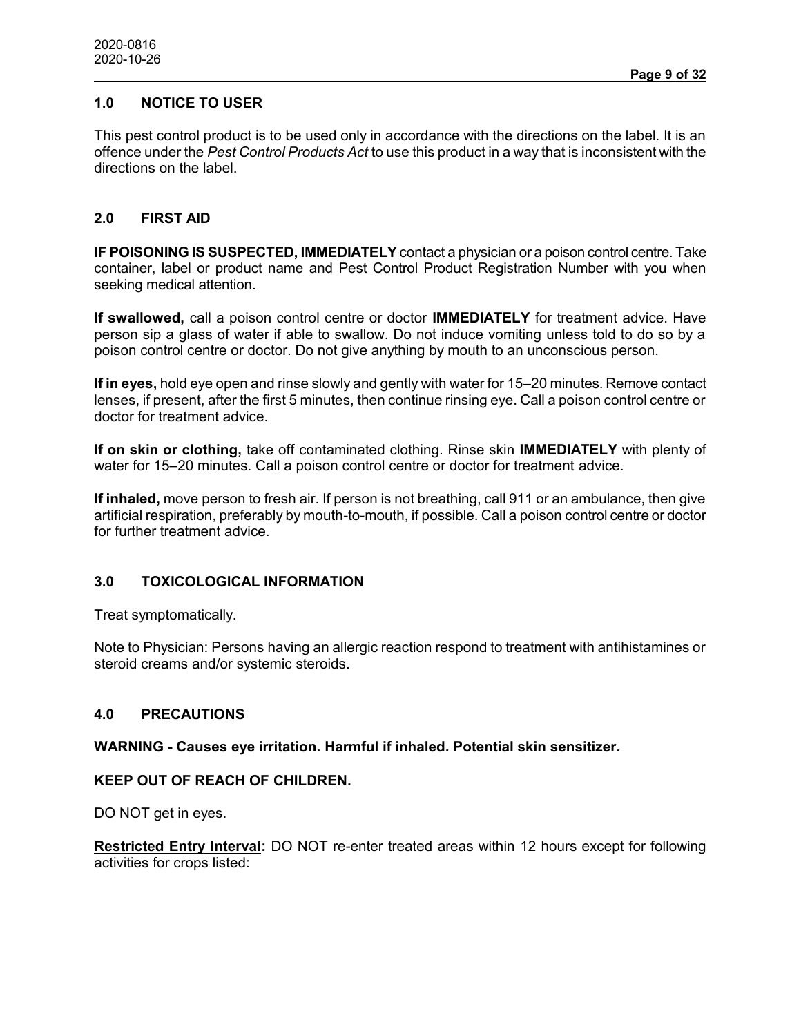# **1.0 NOTICE TO USER**

This pest control product is to be used only in accordance with the directions on the label. It is an offence under the *Pest Control Products Act* to use this product in a way that is inconsistent with the directions on the label.

# **2.0 FIRST AID**

**IF POISONING IS SUSPECTED, IMMEDIATELY** contact a physician or a poison control centre. Take container, label or product name and Pest Control Product Registration Number with you when seeking medical attention.

**If swallowed,** call a poison control centre or doctor **IMMEDIATELY** for treatment advice. Have person sip a glass of water if able to swallow. Do not induce vomiting unless told to do so by a poison control centre or doctor. Do not give anything by mouth to an unconscious person.

**If in eyes,** hold eye open and rinse slowly and gently with water for 15–20 minutes. Remove contact lenses, if present, after the first 5 minutes, then continue rinsing eye. Call a poison control centre or doctor for treatment advice.

**If on skin or clothing,** take off contaminated clothing. Rinse skin **IMMEDIATELY** with plenty of water for 15–20 minutes. Call a poison control centre or doctor for treatment advice.

**If inhaled,** move person to fresh air. If person is not breathing, call 911 or an ambulance, then give artificial respiration, preferably by mouth-to-mouth, if possible. Call a poison control centre or doctor for further treatment advice.

## **3.0 TOXICOLOGICAL INFORMATION**

Treat symptomatically.

Note to Physician: Persons having an allergic reaction respond to treatment with antihistamines or steroid creams and/or systemic steroids.

### **4.0 PRECAUTIONS**

**WARNING - Causes eye irritation. Harmful if inhaled. Potential skin sensitizer.**

#### **KEEP OUT OF REACH OF CHILDREN.**

DO NOT get in eyes.

**Restricted Entry Interval:** DO NOT re-enter treated areas within 12 hours except for following activities for crops listed: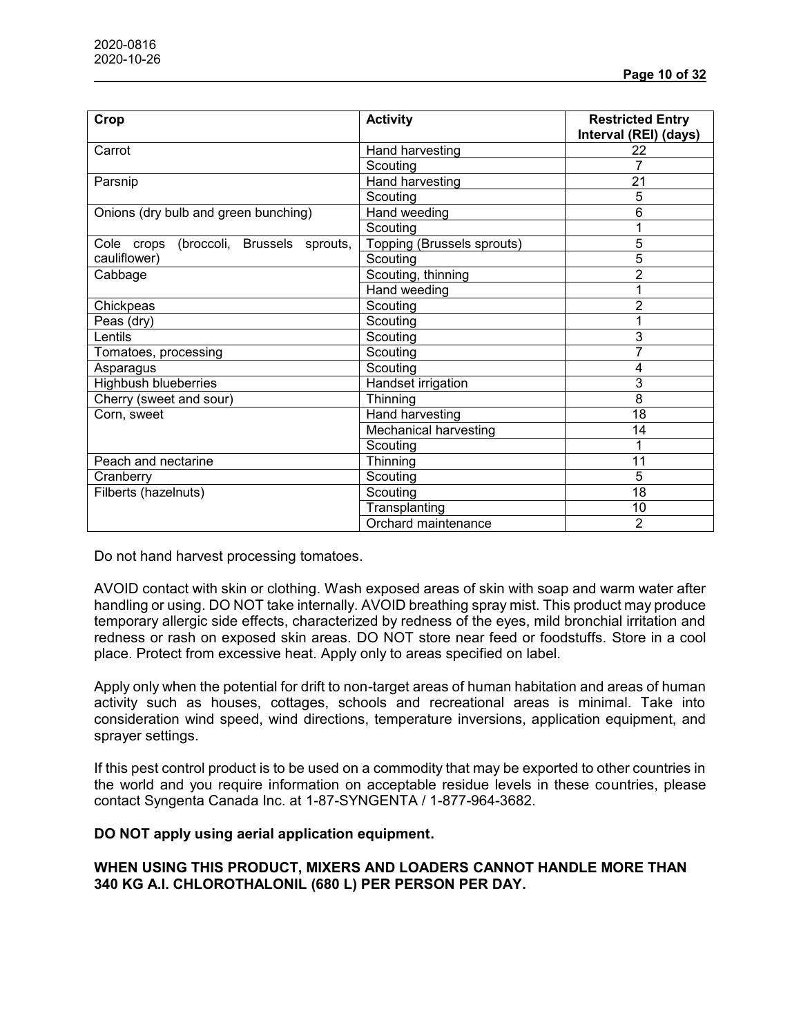| Crop                                       | <b>Activity</b>            | <b>Restricted Entry</b><br>Interval (REI) (days) |
|--------------------------------------------|----------------------------|--------------------------------------------------|
| Carrot                                     | Hand harvesting            | 22                                               |
|                                            | Scouting                   |                                                  |
| Parsnip                                    | Hand harvesting            | 21                                               |
|                                            | Scouting                   | 5                                                |
| Onions (dry bulb and green bunching)       | Hand weeding               | 6                                                |
|                                            | Scouting                   |                                                  |
| (broccoli, Brussels sprouts,<br>Cole crops | Topping (Brussels sprouts) | 5                                                |
| cauliflower)                               | Scouting                   | 5                                                |
| Cabbage                                    | Scouting, thinning         | 2                                                |
|                                            | Hand weeding               |                                                  |
| Chickpeas                                  | Scouting                   | 2                                                |
| Peas (dry)                                 | Scouting                   |                                                  |
| Lentils                                    | Scouting                   | 3                                                |
| Tomatoes, processing                       | Scouting                   | 7                                                |
| Asparagus                                  | Scouting                   | 4                                                |
| <b>Highbush blueberries</b>                | Handset irrigation         | 3                                                |
| Cherry (sweet and sour)                    | Thinning                   | 8                                                |
| Corn, sweet                                | Hand harvesting            | 18                                               |
|                                            | Mechanical harvesting      | 14                                               |
|                                            | Scouting                   |                                                  |
| Peach and nectarine                        | Thinning                   | 11                                               |
| Cranberry                                  | Scouting                   | 5                                                |
| Filberts (hazelnuts)                       | Scouting                   | 18                                               |
|                                            | Transplanting              | 10                                               |
|                                            | Orchard maintenance        | $\overline{2}$                                   |

Do not hand harvest processing tomatoes.

AVOID contact with skin or clothing. Wash exposed areas of skin with soap and warm water after handling or using. DO NOT take internally. AVOID breathing spray mist. This product may produce temporary allergic side effects, characterized by redness of the eyes, mild bronchial irritation and redness or rash on exposed skin areas. DO NOT store near feed or foodstuffs. Store in a cool place. Protect from excessive heat. Apply only to areas specified on label.

Apply only when the potential for drift to non-target areas of human habitation and areas of human activity such as houses, cottages, schools and recreational areas is minimal. Take into consideration wind speed, wind directions, temperature inversions, application equipment, and sprayer settings.

If this pest control product is to be used on a commodity that may be exported to other countries in the world and you require information on acceptable residue levels in these countries, please contact Syngenta Canada Inc. at 1-87-SYNGENTA / 1-877-964-3682.

#### **DO NOT apply using aerial application equipment.**

## **WHEN USING THIS PRODUCT, MIXERS AND LOADERS CANNOT HANDLE MORE THAN 340 KG A.I. CHLOROTHALONIL (680 L) PER PERSON PER DAY.**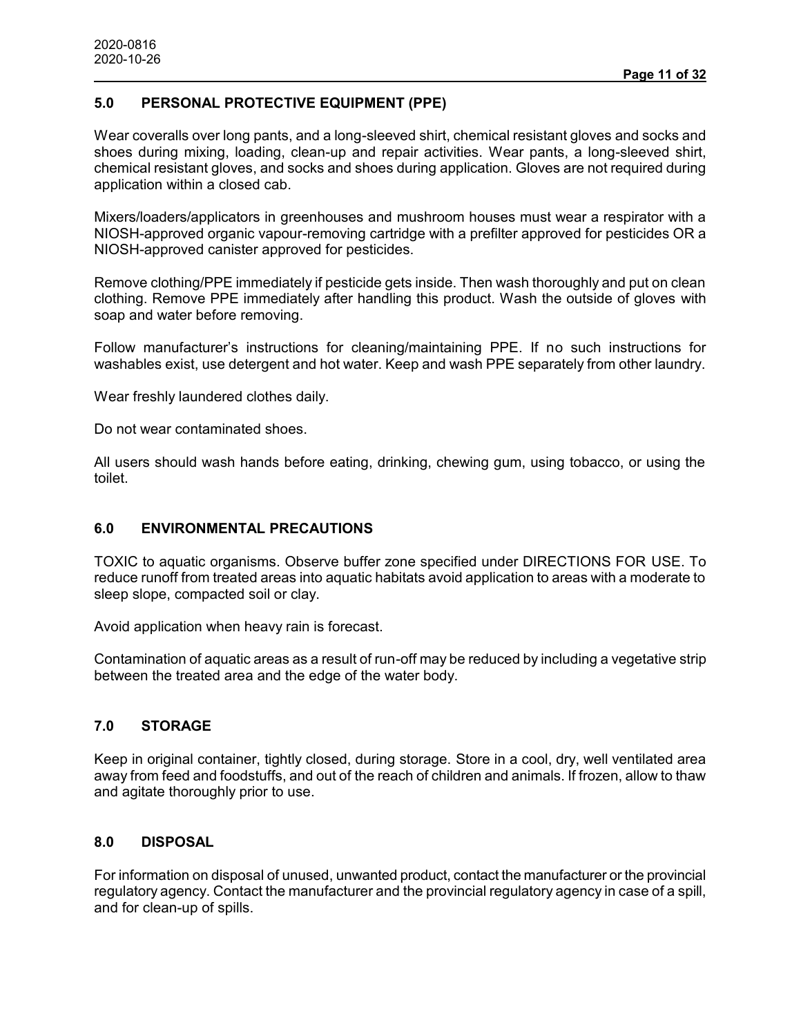## **5.0 PERSONAL PROTECTIVE EQUIPMENT (PPE)**

Wear coveralls over long pants, and a long-sleeved shirt, chemical resistant gloves and socks and shoes during mixing, loading, clean-up and repair activities. Wear pants, a long-sleeved shirt, chemical resistant gloves, and socks and shoes during application. Gloves are not required during application within a closed cab.

Mixers/loaders/applicators in greenhouses and mushroom houses must wear a respirator with a NIOSH-approved organic vapour-removing cartridge with a prefilter approved for pesticides OR a NIOSH-approved canister approved for pesticides.

Remove clothing/PPE immediately if pesticide gets inside. Then wash thoroughly and put on clean clothing. Remove PPE immediately after handling this product. Wash the outside of gloves with soap and water before removing.

Follow manufacturer's instructions for cleaning/maintaining PPE. If no such instructions for washables exist, use detergent and hot water. Keep and wash PPE separately from other laundry.

Wear freshly laundered clothes daily.

Do not wear contaminated shoes.

All users should wash hands before eating, drinking, chewing gum, using tobacco, or using the toilet.

#### **6.0 ENVIRONMENTAL PRECAUTIONS**

TOXIC to aquatic organisms. Observe buffer zone specified under DIRECTIONS FOR USE. To reduce runoff from treated areas into aquatic habitats avoid application to areas with a moderate to sleep slope, compacted soil or clay.

Avoid application when heavy rain is forecast.

Contamination of aquatic areas as a result of run-off may be reduced by including a vegetative strip between the treated area and the edge of the water body.

## **7.0 STORAGE**

Keep in original container, tightly closed, during storage. Store in a cool, dry, well ventilated area away from feed and foodstuffs, and out of the reach of children and animals. If frozen, allow to thaw and agitate thoroughly prior to use.

#### **8.0 DISPOSAL**

For information on disposal of unused, unwanted product, contact the manufacturer or the provincial regulatory agency. Contact the manufacturer and the provincial regulatory agency in case of a spill, and for clean-up of spills.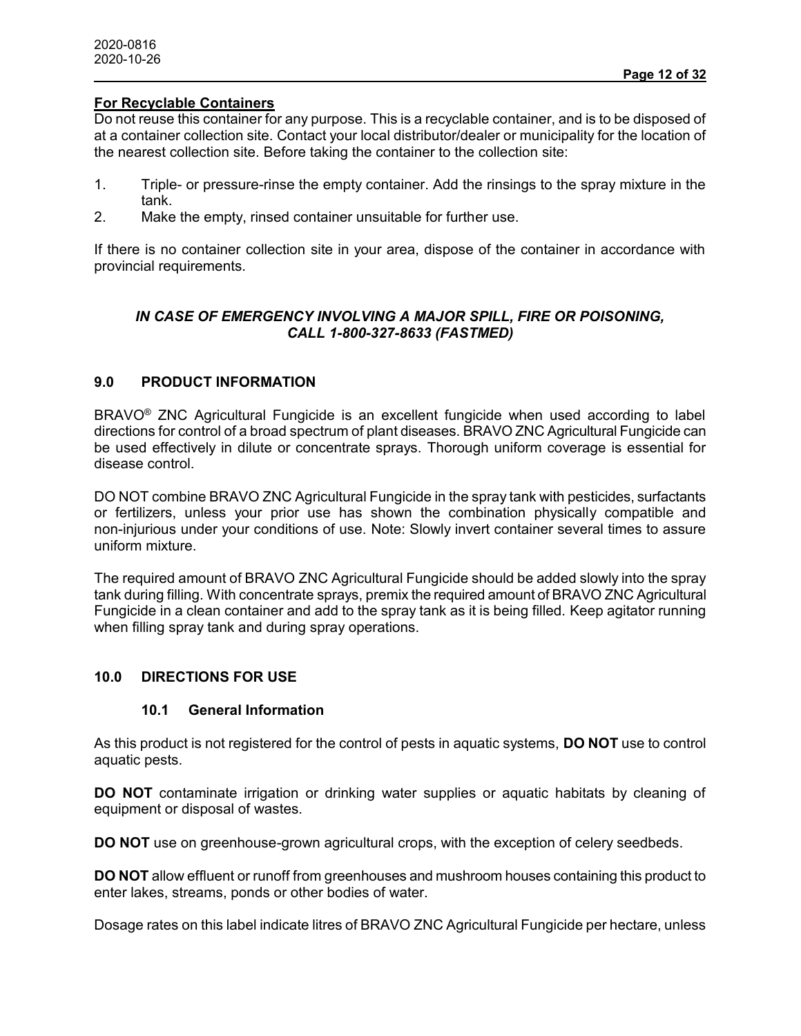### **For Recyclable Containers**

Do not reuse this container for any purpose. This is a recyclable container, and is to be disposed of at a container collection site. Contact your local distributor/dealer or municipality for the location of the nearest collection site. Before taking the container to the collection site:

- 1. Triple- or pressure-rinse the empty container. Add the rinsings to the spray mixture in the tank.
- 2. Make the empty, rinsed container unsuitable for further use.

If there is no container collection site in your area, dispose of the container in accordance with provincial requirements.

# *IN CASE OF EMERGENCY INVOLVING A MAJOR SPILL, FIRE OR POISONING, CALL 1-800-327-8633 (FASTMED)*

### **9.0 PRODUCT INFORMATION**

BRAVO® ZNC Agricultural Fungicide is an excellent fungicide when used according to label directions for control of a broad spectrum of plant diseases. BRAVO ZNC Agricultural Fungicide can be used effectively in dilute or concentrate sprays. Thorough uniform coverage is essential for disease control.

DO NOT combine BRAVO ZNC Agricultural Fungicide in the spray tank with pesticides, surfactants or fertilizers, unless your prior use has shown the combination physically compatible and non-injurious under your conditions of use. Note: Slowly invert container several times to assure uniform mixture.

The required amount of BRAVO ZNC Agricultural Fungicide should be added slowly into the spray tank during filling. With concentrate sprays, premix the required amount of BRAVO ZNC Agricultural Fungicide in a clean container and add to the spray tank as it is being filled. Keep agitator running when filling spray tank and during spray operations.

## **10.0 DIRECTIONS FOR USE**

#### **10.1 General Information**

As this product is not registered for the control of pests in aquatic systems, **DO NOT** use to control aquatic pests.

**DO NOT** contaminate irrigation or drinking water supplies or aquatic habitats by cleaning of equipment or disposal of wastes.

**DO NOT** use on greenhouse-grown agricultural crops, with the exception of celery seedbeds.

**DO NOT** allow effluent or runoff from greenhouses and mushroom houses containing this product to enter lakes, streams, ponds or other bodies of water.

Dosage rates on this label indicate litres of BRAVO ZNC Agricultural Fungicide per hectare, unless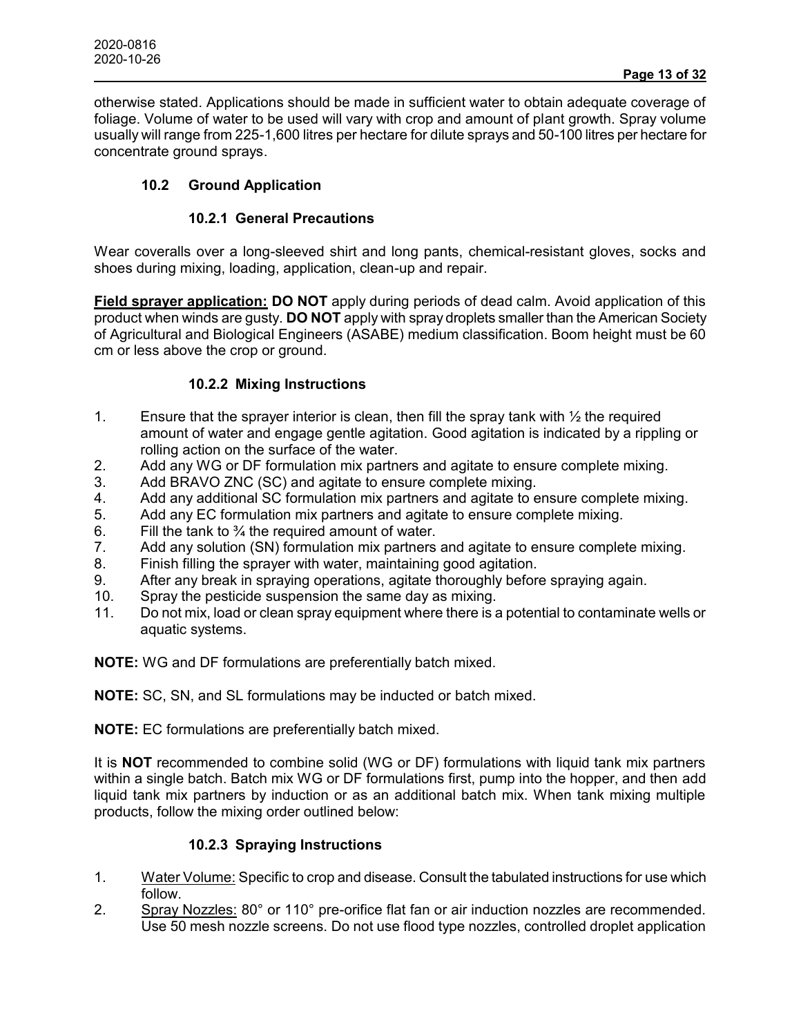otherwise stated. Applications should be made in sufficient water to obtain adequate coverage of foliage. Volume of water to be used will vary with crop and amount of plant growth. Spray volume usually will range from 225-1,600 litres per hectare for dilute sprays and 50-100 litres per hectare for concentrate ground sprays.

# **10.2 Ground Application**

# **10.2.1 General Precautions**

Wear coveralls over a long-sleeved shirt and long pants, chemical-resistant gloves, socks and shoes during mixing, loading, application, clean-up and repair.

**Field sprayer application: DO NOT** apply during periods of dead calm. Avoid application of this product when winds are gusty. **DO NOT** apply with spray droplets smaller than the American Society of Agricultural and Biological Engineers (ASABE) medium classification. Boom height must be 60 cm or less above the crop or ground.

# **10.2.2 Mixing Instructions**

- 1. Ensure that the sprayer interior is clean, then fill the spray tank with  $\frac{1}{2}$  the required amount of water and engage gentle agitation. Good agitation is indicated by a rippling or rolling action on the surface of the water.
- 2. Add any WG or DF formulation mix partners and agitate to ensure complete mixing.
- 3. Add BRAVO ZNC (SC) and agitate to ensure complete mixing.
- 4. Add any additional SC formulation mix partners and agitate to ensure complete mixing.
- 5. Add any EC formulation mix partners and agitate to ensure complete mixing.
- 6. Fill the tank to  $\frac{3}{4}$  the required amount of water.
- 7. Add any solution (SN) formulation mix partners and agitate to ensure complete mixing.
- 8. Finish filling the sprayer with water, maintaining good agitation.
- 9. After any break in spraying operations, agitate thoroughly before spraying again.
- 10. Spray the pesticide suspension the same day as mixing.
- 11. Do not mix, load or clean spray equipment where there is a potential to contaminate wells or aquatic systems.

**NOTE:** WG and DF formulations are preferentially batch mixed.

**NOTE:** SC, SN, and SL formulations may be inducted or batch mixed.

**NOTE:** EC formulations are preferentially batch mixed.

It is **NOT** recommended to combine solid (WG or DF) formulations with liquid tank mix partners within a single batch. Batch mix WG or DF formulations first, pump into the hopper, and then add liquid tank mix partners by induction or as an additional batch mix. When tank mixing multiple products, follow the mixing order outlined below:

# **10.2.3 Spraying Instructions**

- 1. Water Volume: Specific to crop and disease. Consult the tabulated instructions for use which follow.
- 2. Spray Nozzles: 80° or 110° pre-orifice flat fan or air induction nozzles are recommended. Use 50 mesh nozzle screens. Do not use flood type nozzles, controlled droplet application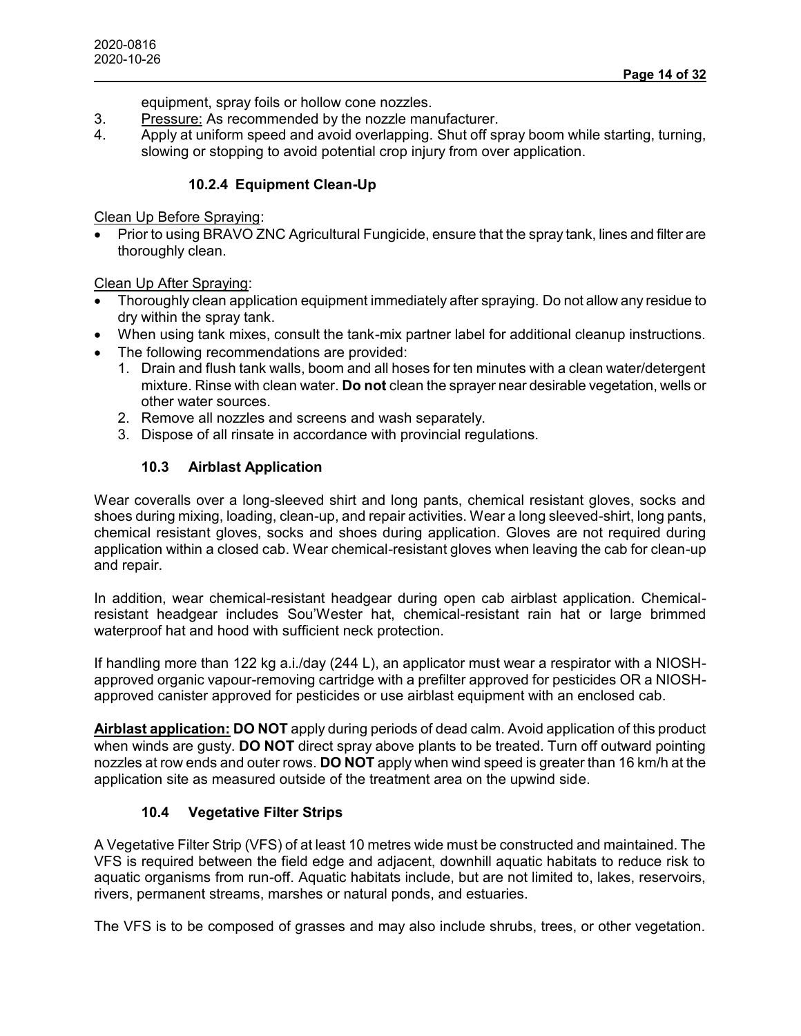equipment, spray foils or hollow cone nozzles.

- 3. Pressure: As recommended by the nozzle manufacturer.
- 4. Apply at uniform speed and avoid overlapping. Shut off spray boom while starting, turning, slowing or stopping to avoid potential crop injury from over application.

# **10.2.4 Equipment Clean-Up**

# Clean Up Before Spraying:

 Prior to using BRAVO ZNC Agricultural Fungicide, ensure that the spray tank, lines and filter are thoroughly clean.

# Clean Up After Spraying:

- Thoroughly clean application equipment immediately after spraying. Do not allow any residue to dry within the spray tank.
- When using tank mixes, consult the tank-mix partner label for additional cleanup instructions.
- The following recommendations are provided:
	- 1. Drain and flush tank walls, boom and all hoses for ten minutes with a clean water/detergent mixture. Rinse with clean water. **Do not** clean the sprayer near desirable vegetation, wells or other water sources.
	- 2. Remove all nozzles and screens and wash separately.
	- 3. Dispose of all rinsate in accordance with provincial regulations.

# **10.3 Airblast Application**

Wear coveralls over a long-sleeved shirt and long pants, chemical resistant gloves, socks and shoes during mixing, loading, clean-up, and repair activities. Wear a long sleeved-shirt, long pants, chemical resistant gloves, socks and shoes during application. Gloves are not required during application within a closed cab. Wear chemical-resistant gloves when leaving the cab for clean-up and repair.

In addition, wear chemical-resistant headgear during open cab airblast application. Chemicalresistant headgear includes Sou'Wester hat, chemical-resistant rain hat or large brimmed waterproof hat and hood with sufficient neck protection.

If handling more than 122 kg a.i./day (244 L), an applicator must wear a respirator with a NIOSHapproved organic vapour-removing cartridge with a prefilter approved for pesticides OR a NIOSHapproved canister approved for pesticides or use airblast equipment with an enclosed cab.

**Airblast application: DO NOT** apply during periods of dead calm. Avoid application of this product when winds are gusty. **DO NOT** direct spray above plants to be treated. Turn off outward pointing nozzles at row ends and outer rows. **DO NOT** apply when wind speed is greater than 16 km/h at the application site as measured outside of the treatment area on the upwind side.

# **10.4 Vegetative Filter Strips**

A Vegetative Filter Strip (VFS) of at least 10 metres wide must be constructed and maintained. The VFS is required between the field edge and adjacent, downhill aquatic habitats to reduce risk to aquatic organisms from run-off. Aquatic habitats include, but are not limited to, lakes, reservoirs, rivers, permanent streams, marshes or natural ponds, and estuaries.

The VFS is to be composed of grasses and may also include shrubs, trees, or other vegetation.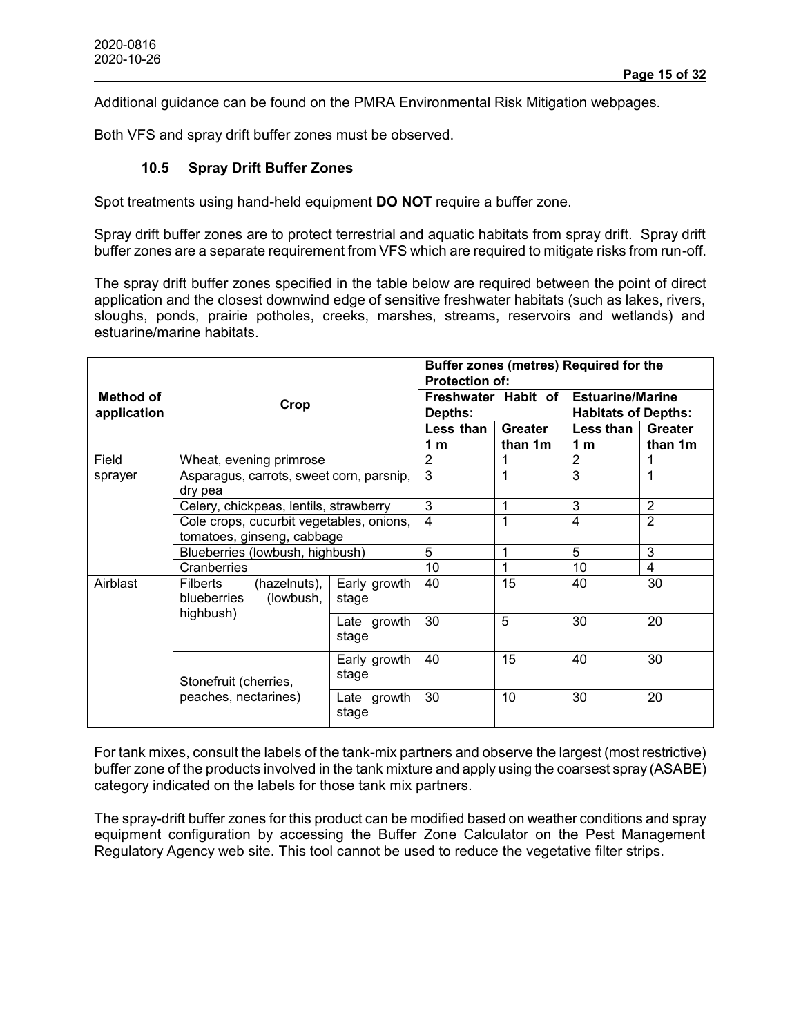Additional guidance can be found on the PMRA Environmental Risk Mitigation webpages.

Both VFS and spray drift buffer zones must be observed.

### **10.5 Spray Drift Buffer Zones**

Spot treatments using hand-held equipment **DO NOT** require a buffer zone.

Spray drift buffer zones are to protect terrestrial and aquatic habitats from spray drift. Spray drift buffer zones are a separate requirement from VFS which are required to mitigate risks from run-off.

The spray drift buffer zones specified in the table below are required between the point of direct application and the closest downwind edge of sensitive freshwater habitats (such as lakes, rivers, sloughs, ponds, prairie potholes, creeks, marshes, streams, reservoirs and wetlands) and estuarine/marine habitats.

|                                                                                  | Crop                                                                                                                                                                                                                      |                       | Buffer zones (metres) Required for the<br><b>Protection of:</b> |                           |                                                       |                           |
|----------------------------------------------------------------------------------|---------------------------------------------------------------------------------------------------------------------------------------------------------------------------------------------------------------------------|-----------------------|-----------------------------------------------------------------|---------------------------|-------------------------------------------------------|---------------------------|
| Method of<br>application                                                         |                                                                                                                                                                                                                           |                       | Freshwater Habit of<br>Depths:                                  |                           | <b>Estuarine/Marine</b><br><b>Habitats of Depths:</b> |                           |
|                                                                                  |                                                                                                                                                                                                                           |                       | Less than<br>1 <sub>m</sub>                                     | <b>Greater</b><br>than 1m | Less than<br>1 m                                      | <b>Greater</b><br>than 1m |
| Field                                                                            | Wheat, evening primrose                                                                                                                                                                                                   |                       | $\overline{2}$                                                  |                           | $\overline{2}$                                        |                           |
| sprayer                                                                          | Asparagus, carrots, sweet corn, parsnip,<br>dry pea<br>Celery, chickpeas, lentils, strawberry<br>Cole crops, cucurbit vegetables, onions,<br>tomatoes, ginseng, cabbage<br>Blueberries (lowbush, highbush)<br>Cranberries |                       | 3                                                               | 1                         | 3                                                     | 1                         |
|                                                                                  |                                                                                                                                                                                                                           |                       | 3                                                               | 1                         | 3                                                     | $\overline{2}$            |
|                                                                                  |                                                                                                                                                                                                                           |                       | 4                                                               |                           | 4                                                     | $\overline{2}$            |
|                                                                                  |                                                                                                                                                                                                                           |                       | 5                                                               |                           | 5                                                     | 3                         |
|                                                                                  |                                                                                                                                                                                                                           |                       | 10                                                              | 1                         | 10                                                    | 4                         |
| Airblast<br>Filberts<br>$(hazelnuts)$ ,<br>(lowbush,<br>blueberries<br>highbush) | Early growth<br>stage                                                                                                                                                                                                     | 40                    | 15                                                              | 40                        | 30                                                    |                           |
|                                                                                  | Late growth<br>stage                                                                                                                                                                                                      | 30                    | 5                                                               | 30                        | 20                                                    |                           |
| Stonefruit (cherries,                                                            |                                                                                                                                                                                                                           | Early growth<br>stage | 40                                                              | 15                        | 40                                                    | 30                        |
|                                                                                  | peaches, nectarines)                                                                                                                                                                                                      | Late growth<br>stage  | 30                                                              | 10                        | 30                                                    | 20                        |

For tank mixes, consult the labels of the tank-mix partners and observe the largest (most restrictive) buffer zone of the products involved in the tank mixture and apply using the coarsest spray (ASABE) category indicated on the labels for those tank mix partners.

The spray-drift buffer zones for this product can be modified based on weather conditions and spray equipment configuration by accessing the Buffer Zone Calculator on the Pest Management Regulatory Agency web site. This tool cannot be used to reduce the vegetative filter strips.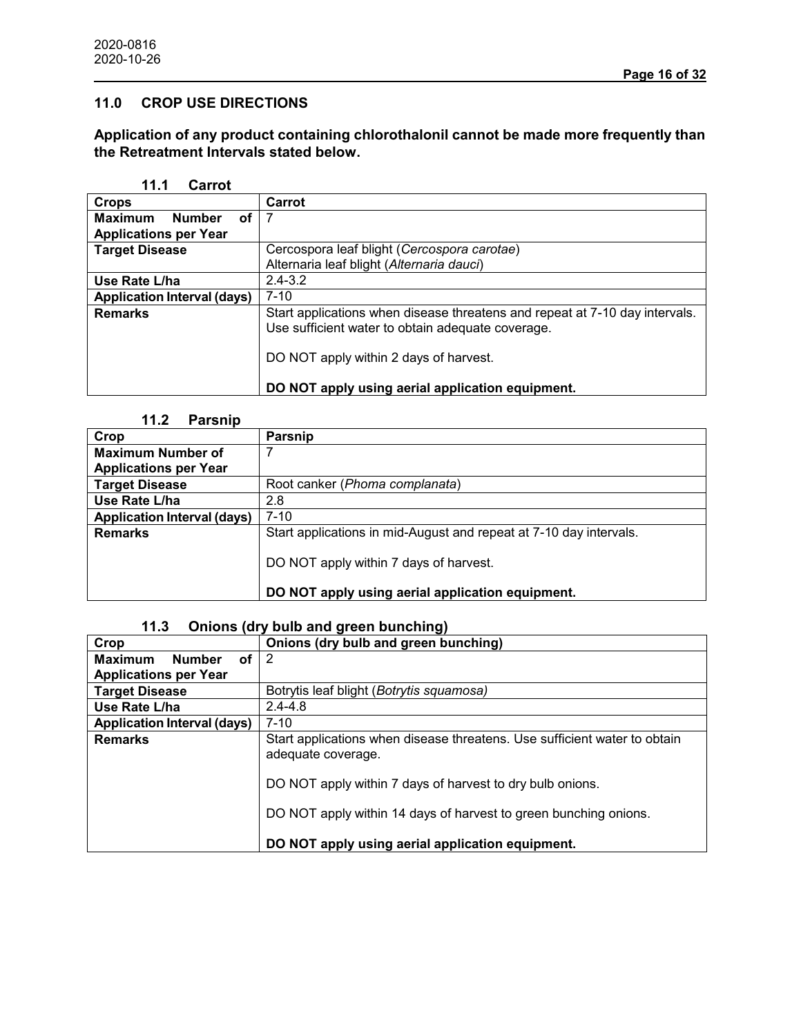# **11.0 CROP USE DIRECTIONS**

**Application of any product containing chlorothalonil cannot be made more frequently than the Retreatment Intervals stated below.**

#### **11.1 Carrot**

| <b>Crops</b>                          | Carrot                                                                                                                           |
|---------------------------------------|----------------------------------------------------------------------------------------------------------------------------------|
| <b>Maximum</b><br><b>Number</b><br>οf |                                                                                                                                  |
| <b>Applications per Year</b>          |                                                                                                                                  |
| <b>Target Disease</b>                 | Cercospora leaf blight (Cercospora carotae)                                                                                      |
|                                       | Alternaria leaf blight (Alternaria dauci)                                                                                        |
| Use Rate L/ha                         | $2.4 - 3.2$                                                                                                                      |
| <b>Application Interval (days)</b>    | $7 - 10$                                                                                                                         |
| <b>Remarks</b>                        | Start applications when disease threatens and repeat at 7-10 day intervals.<br>Use sufficient water to obtain adequate coverage. |
|                                       | DO NOT apply within 2 days of harvest.                                                                                           |
|                                       | DO NOT apply using aerial application equipment.                                                                                 |

# **11.2 Parsnip**

| Crop                               | Parsnip                                                            |
|------------------------------------|--------------------------------------------------------------------|
| <b>Maximum Number of</b>           |                                                                    |
| <b>Applications per Year</b>       |                                                                    |
| <b>Target Disease</b>              | Root canker ( <i>Phoma complanata</i> )                            |
| Use Rate L/ha                      | 2.8                                                                |
| <b>Application Interval (days)</b> | $7 - 10$                                                           |
| <b>Remarks</b>                     | Start applications in mid-August and repeat at 7-10 day intervals. |
|                                    | DO NOT apply within 7 days of harvest.                             |
|                                    | DO NOT apply using aerial application equipment.                   |

# **11.3 Onions (dry bulb and green bunching)**

| Crop                                  | Onions (dry bulb and green bunching)                                                            |
|---------------------------------------|-------------------------------------------------------------------------------------------------|
| <b>Maximum</b><br><b>Number</b><br>оf | 2                                                                                               |
| <b>Applications per Year</b>          |                                                                                                 |
| <b>Target Disease</b>                 | Botrytis leaf blight (Botrytis squamosa)                                                        |
| Use Rate L/ha                         | $2.4 - 4.8$                                                                                     |
| <b>Application Interval (days)</b>    | $7 - 10$                                                                                        |
| <b>Remarks</b>                        | Start applications when disease threatens. Use sufficient water to obtain<br>adequate coverage. |
|                                       | DO NOT apply within 7 days of harvest to dry bulb onions.                                       |
|                                       | DO NOT apply within 14 days of harvest to green bunching onions.                                |
|                                       | DO NOT apply using aerial application equipment.                                                |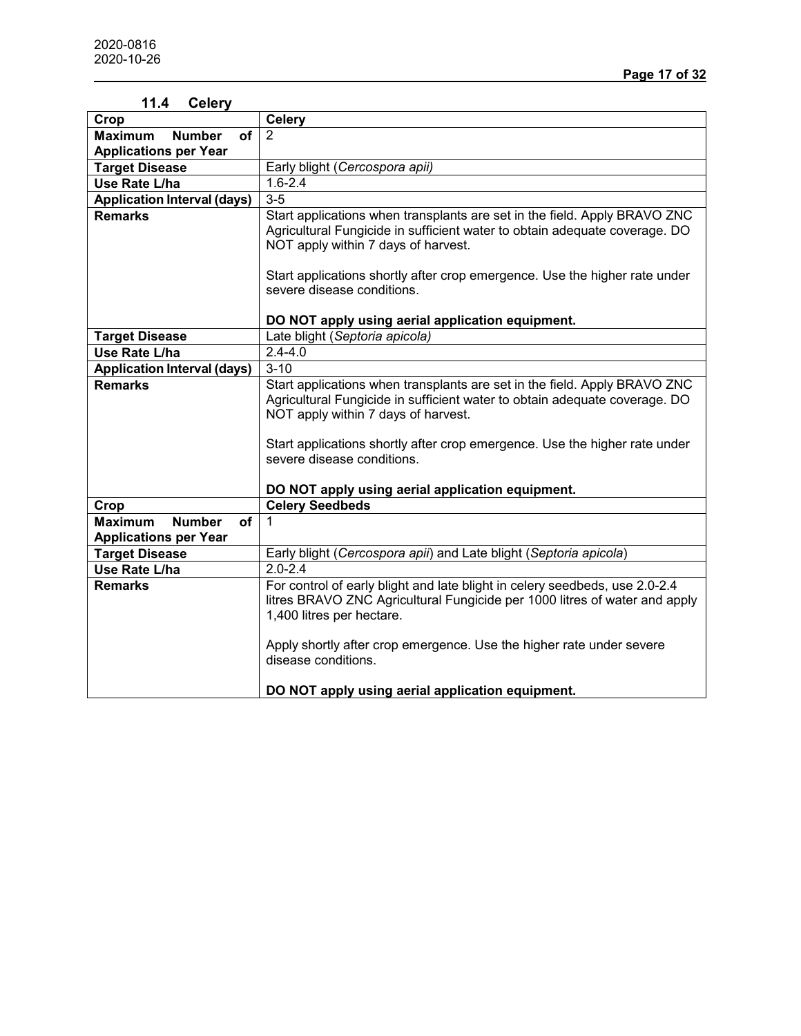| 11.4<br><b>Celery</b>                        |                                                                                    |
|----------------------------------------------|------------------------------------------------------------------------------------|
| Crop                                         | <b>Celery</b>                                                                      |
| <b>Number</b><br>of<br><b>Maximum</b>        | $\overline{2}$                                                                     |
| <b>Applications per Year</b>                 |                                                                                    |
| <b>Target Disease</b>                        | Early blight (Cercospora apii)                                                     |
| Use Rate L/ha                                | $1.6 - 2.4$                                                                        |
| <b>Application Interval (days)</b>           | $3-5$                                                                              |
| <b>Remarks</b>                               | Start applications when transplants are set in the field. Apply BRAVO ZNC          |
|                                              | Agricultural Fungicide in sufficient water to obtain adequate coverage. DO         |
|                                              | NOT apply within 7 days of harvest.                                                |
|                                              |                                                                                    |
|                                              | Start applications shortly after crop emergence. Use the higher rate under         |
|                                              | severe disease conditions.                                                         |
|                                              |                                                                                    |
|                                              | DO NOT apply using aerial application equipment.<br>Late blight (Septoria apicola) |
| <b>Target Disease</b><br>Use Rate L/ha       | $2.4 - 4.0$                                                                        |
|                                              |                                                                                    |
| <b>Application Interval (days)</b>           | $3 - 10$                                                                           |
| <b>Remarks</b>                               | Start applications when transplants are set in the field. Apply BRAVO ZNC          |
|                                              | Agricultural Fungicide in sufficient water to obtain adequate coverage. DO         |
|                                              | NOT apply within 7 days of harvest.                                                |
|                                              | Start applications shortly after crop emergence. Use the higher rate under         |
|                                              | severe disease conditions.                                                         |
|                                              |                                                                                    |
|                                              | DO NOT apply using aerial application equipment.                                   |
| Crop                                         | <b>Celery Seedbeds</b>                                                             |
| <b>Number</b><br><b>Maximum</b><br><b>of</b> | 1                                                                                  |
| <b>Applications per Year</b>                 |                                                                                    |
| <b>Target Disease</b>                        | Early blight (Cercospora apii) and Late blight (Septoria apicola)                  |
| Use Rate L/ha                                | $2.0 - 2.4$                                                                        |
| <b>Remarks</b>                               | For control of early blight and late blight in celery seedbeds, use 2.0-2.4        |
|                                              | litres BRAVO ZNC Agricultural Fungicide per 1000 litres of water and apply         |
|                                              | 1,400 litres per hectare.                                                          |
|                                              |                                                                                    |
|                                              | Apply shortly after crop emergence. Use the higher rate under severe               |
|                                              | disease conditions.                                                                |
|                                              |                                                                                    |
|                                              | DO NOT apply using aerial application equipment.                                   |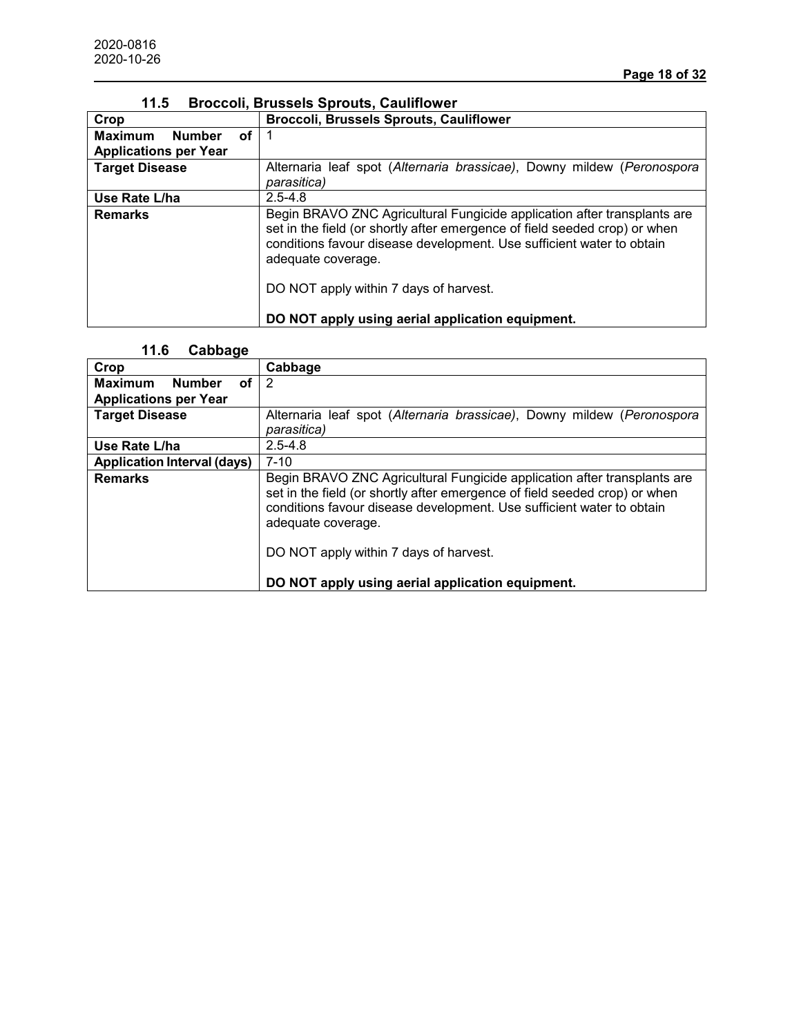| Crop                                  | <b>Broccoli, Brussels Sprouts, Cauliflower</b>                                                                                                                                                                                                                                                  |
|---------------------------------------|-------------------------------------------------------------------------------------------------------------------------------------------------------------------------------------------------------------------------------------------------------------------------------------------------|
| <b>Maximum</b><br><b>Number</b><br>оf |                                                                                                                                                                                                                                                                                                 |
| <b>Applications per Year</b>          |                                                                                                                                                                                                                                                                                                 |
| <b>Target Disease</b>                 | Alternaria leaf spot (Alternaria brassicae), Downy mildew (Peronospora<br>parasitica)                                                                                                                                                                                                           |
| Use Rate L/ha                         | $2.5 - 4.8$                                                                                                                                                                                                                                                                                     |
| <b>Remarks</b>                        | Begin BRAVO ZNC Agricultural Fungicide application after transplants are<br>set in the field (or shortly after emergence of field seeded crop) or when<br>conditions favour disease development. Use sufficient water to obtain<br>adequate coverage.<br>DO NOT apply within 7 days of harvest. |
|                                       | DO NOT apply using aerial application equipment.                                                                                                                                                                                                                                                |

### **11.5 Broccoli, Brussels Sprouts, Cauliflower**

#### **11.6 Cabbage**

| -------                               |                                                                                                                                                                                                                                                                                                 |
|---------------------------------------|-------------------------------------------------------------------------------------------------------------------------------------------------------------------------------------------------------------------------------------------------------------------------------------------------|
| Crop                                  | Cabbage                                                                                                                                                                                                                                                                                         |
| <b>Maximum</b><br><b>Number</b><br>οf | 2                                                                                                                                                                                                                                                                                               |
| <b>Applications per Year</b>          |                                                                                                                                                                                                                                                                                                 |
| <b>Target Disease</b>                 | Alternaria leaf spot (Alternaria brassicae), Downy mildew (Peronospora                                                                                                                                                                                                                          |
|                                       | parasitica)                                                                                                                                                                                                                                                                                     |
| Use Rate L/ha                         | $2.5 - 4.8$                                                                                                                                                                                                                                                                                     |
| <b>Application Interval (days)</b>    | $7 - 10$                                                                                                                                                                                                                                                                                        |
| <b>Remarks</b>                        | Begin BRAVO ZNC Agricultural Fungicide application after transplants are<br>set in the field (or shortly after emergence of field seeded crop) or when<br>conditions favour disease development. Use sufficient water to obtain<br>adequate coverage.<br>DO NOT apply within 7 days of harvest. |
|                                       | DO NOT apply using aerial application equipment.                                                                                                                                                                                                                                                |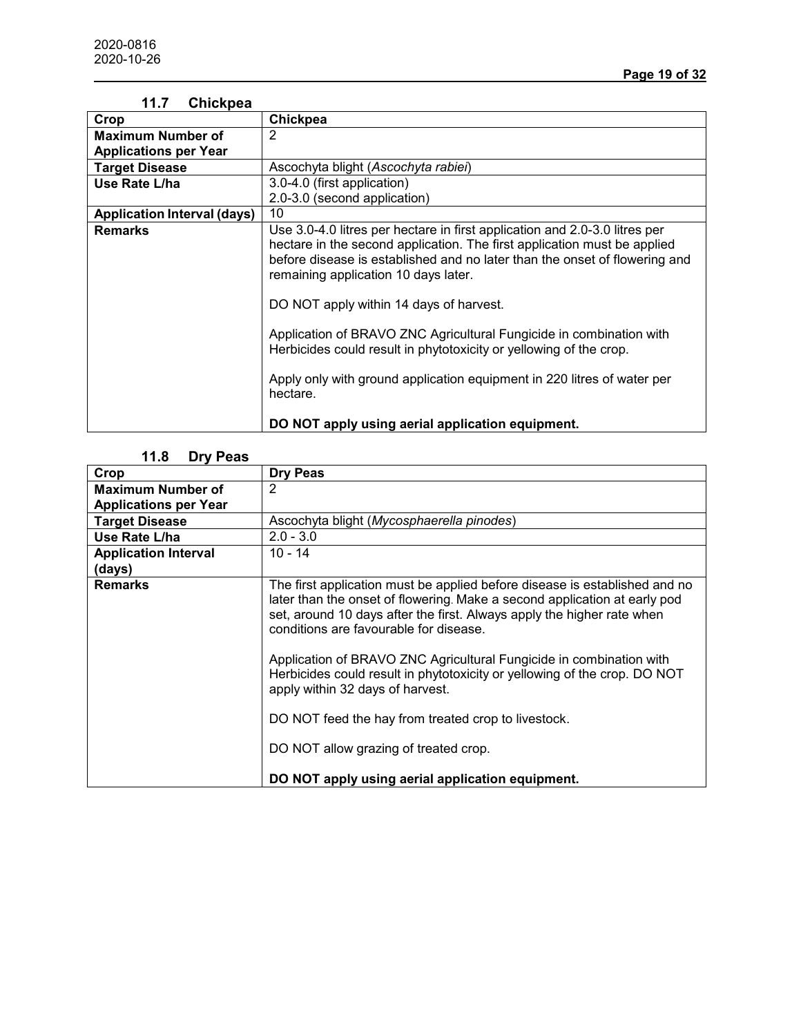| 11.7<br>Chickpea                   |                                                                                                                                                                                                                                                                                                                                                                                                                                                                                                                                                                                                                 |
|------------------------------------|-----------------------------------------------------------------------------------------------------------------------------------------------------------------------------------------------------------------------------------------------------------------------------------------------------------------------------------------------------------------------------------------------------------------------------------------------------------------------------------------------------------------------------------------------------------------------------------------------------------------|
| Crop                               | Chickpea                                                                                                                                                                                                                                                                                                                                                                                                                                                                                                                                                                                                        |
| <b>Maximum Number of</b>           | 2                                                                                                                                                                                                                                                                                                                                                                                                                                                                                                                                                                                                               |
| <b>Applications per Year</b>       |                                                                                                                                                                                                                                                                                                                                                                                                                                                                                                                                                                                                                 |
| <b>Target Disease</b>              | Ascochyta blight (Ascochyta rabiei)                                                                                                                                                                                                                                                                                                                                                                                                                                                                                                                                                                             |
| Use Rate L/ha                      | 3.0-4.0 (first application)                                                                                                                                                                                                                                                                                                                                                                                                                                                                                                                                                                                     |
|                                    | 2.0-3.0 (second application)                                                                                                                                                                                                                                                                                                                                                                                                                                                                                                                                                                                    |
| <b>Application Interval (days)</b> | 10                                                                                                                                                                                                                                                                                                                                                                                                                                                                                                                                                                                                              |
| <b>Remarks</b>                     | Use 3.0-4.0 litres per hectare in first application and 2.0-3.0 litres per<br>hectare in the second application. The first application must be applied<br>before disease is established and no later than the onset of flowering and<br>remaining application 10 days later.<br>DO NOT apply within 14 days of harvest.<br>Application of BRAVO ZNC Agricultural Fungicide in combination with<br>Herbicides could result in phytotoxicity or yellowing of the crop.<br>Apply only with ground application equipment in 220 litres of water per<br>hectare.<br>DO NOT apply using aerial application equipment. |

# **11.7 Chickpea**

# **11.8 Dry Peas**

| Crop                         | <b>Dry Peas</b>                                                                                                                                                                                                                                                             |
|------------------------------|-----------------------------------------------------------------------------------------------------------------------------------------------------------------------------------------------------------------------------------------------------------------------------|
| <b>Maximum Number of</b>     | 2                                                                                                                                                                                                                                                                           |
| <b>Applications per Year</b> |                                                                                                                                                                                                                                                                             |
| <b>Target Disease</b>        | Ascochyta blight (Mycosphaerella pinodes)                                                                                                                                                                                                                                   |
| Use Rate L/ha                | $2.0 - 3.0$                                                                                                                                                                                                                                                                 |
| <b>Application Interval</b>  | $10 - 14$                                                                                                                                                                                                                                                                   |
| (days)                       |                                                                                                                                                                                                                                                                             |
| <b>Remarks</b>               | The first application must be applied before disease is established and no<br>later than the onset of flowering. Make a second application at early pod<br>set, around 10 days after the first. Always apply the higher rate when<br>conditions are favourable for disease. |
|                              | Application of BRAVO ZNC Agricultural Fungicide in combination with<br>Herbicides could result in phytotoxicity or yellowing of the crop. DO NOT<br>apply within 32 days of harvest.                                                                                        |
|                              | DO NOT feed the hay from treated crop to livestock.                                                                                                                                                                                                                         |
|                              | DO NOT allow grazing of treated crop.                                                                                                                                                                                                                                       |
|                              | DO NOT apply using aerial application equipment.                                                                                                                                                                                                                            |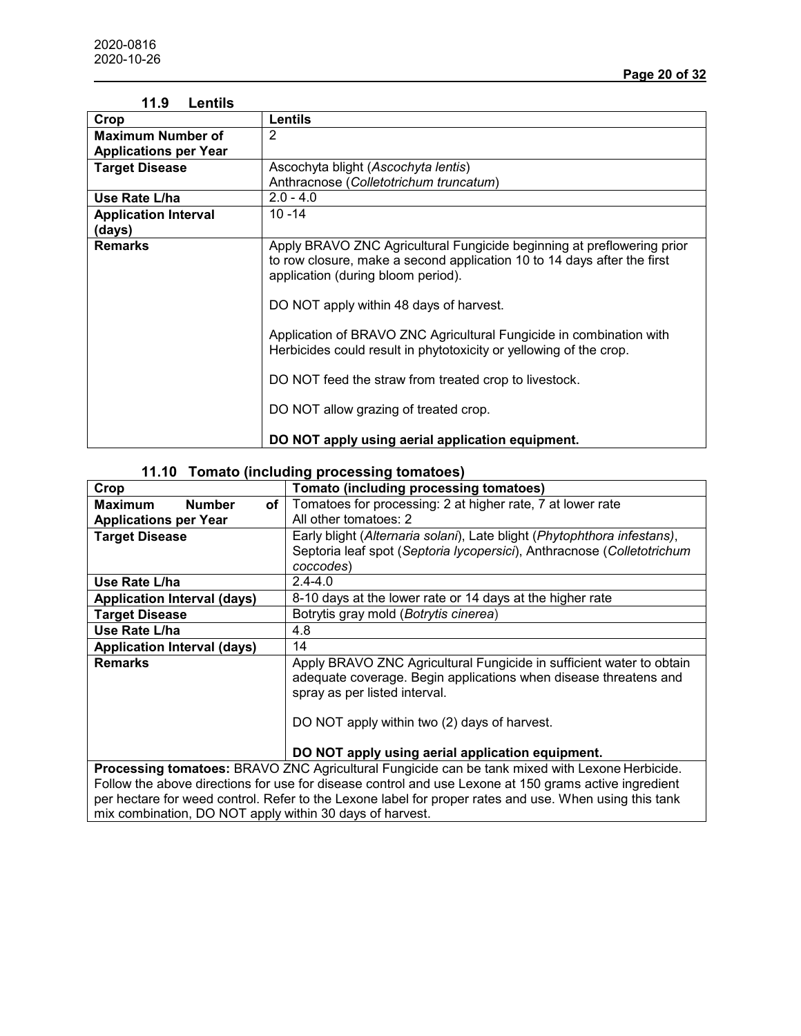| 11.9<br>Lentils              |                                                                                                                                                                                                                                                                                                                                                                                 |
|------------------------------|---------------------------------------------------------------------------------------------------------------------------------------------------------------------------------------------------------------------------------------------------------------------------------------------------------------------------------------------------------------------------------|
| Crop                         | <b>Lentils</b>                                                                                                                                                                                                                                                                                                                                                                  |
| <b>Maximum Number of</b>     | 2                                                                                                                                                                                                                                                                                                                                                                               |
| <b>Applications per Year</b> |                                                                                                                                                                                                                                                                                                                                                                                 |
| <b>Target Disease</b>        | Ascochyta blight (Ascochyta lentis)                                                                                                                                                                                                                                                                                                                                             |
|                              | Anthracnose (Colletotrichum truncatum)                                                                                                                                                                                                                                                                                                                                          |
| Use Rate L/ha                | $2.0 - 4.0$                                                                                                                                                                                                                                                                                                                                                                     |
| <b>Application Interval</b>  | $10 - 14$                                                                                                                                                                                                                                                                                                                                                                       |
| (days)                       |                                                                                                                                                                                                                                                                                                                                                                                 |
| <b>Remarks</b>               | Apply BRAVO ZNC Agricultural Fungicide beginning at preflowering prior<br>to row closure, make a second application 10 to 14 days after the first<br>application (during bloom period).<br>DO NOT apply within 48 days of harvest.<br>Application of BRAVO ZNC Agricultural Fungicide in combination with<br>Herbicides could result in phytotoxicity or yellowing of the crop. |
|                              | DO NOT feed the straw from treated crop to livestock.<br>DO NOT allow grazing of treated crop.<br>DO NOT apply using aerial application equipment.                                                                                                                                                                                                                              |

# **11.10 Tomato (including processing tomatoes)**

| Crop                                                     | Tomato (including processing tomatoes)                                                                 |
|----------------------------------------------------------|--------------------------------------------------------------------------------------------------------|
| <b>Number</b><br>of<br><b>Maximum</b>                    | Tomatoes for processing: 2 at higher rate, 7 at lower rate                                             |
| <b>Applications per Year</b>                             | All other tomatoes: 2                                                                                  |
| <b>Target Disease</b>                                    | Early blight (Alternaria solani), Late blight (Phytophthora infestans),                                |
|                                                          | Septoria leaf spot (Septoria lycopersici), Anthracnose (Colletotrichum                                 |
|                                                          | coccodes)                                                                                              |
| Use Rate L/ha                                            | $2.4 - 4.0$                                                                                            |
| <b>Application Interval (days)</b>                       | 8-10 days at the lower rate or 14 days at the higher rate                                              |
| <b>Target Disease</b>                                    | Botrytis gray mold (Botrytis cinerea)                                                                  |
| Use Rate L/ha                                            | 4.8                                                                                                    |
| <b>Application Interval (days)</b>                       | 14                                                                                                     |
| <b>Remarks</b>                                           | Apply BRAVO ZNC Agricultural Fungicide in sufficient water to obtain                                   |
|                                                          | adequate coverage. Begin applications when disease threatens and                                       |
|                                                          | spray as per listed interval.                                                                          |
|                                                          |                                                                                                        |
|                                                          | DO NOT apply within two (2) days of harvest.                                                           |
|                                                          |                                                                                                        |
|                                                          | DO NOT apply using aerial application equipment.                                                       |
|                                                          | Processing tomatoes: BRAVO ZNC Agricultural Fungicide can be tank mixed with Lexone Herbicide.         |
|                                                          | Follow the above directions for use for disease control and use Lexone at 150 grams active ingredient  |
|                                                          | per hectare for weed control. Refer to the Lexone label for proper rates and use. When using this tank |
| mix combination, DO NOT apply within 30 days of harvest. |                                                                                                        |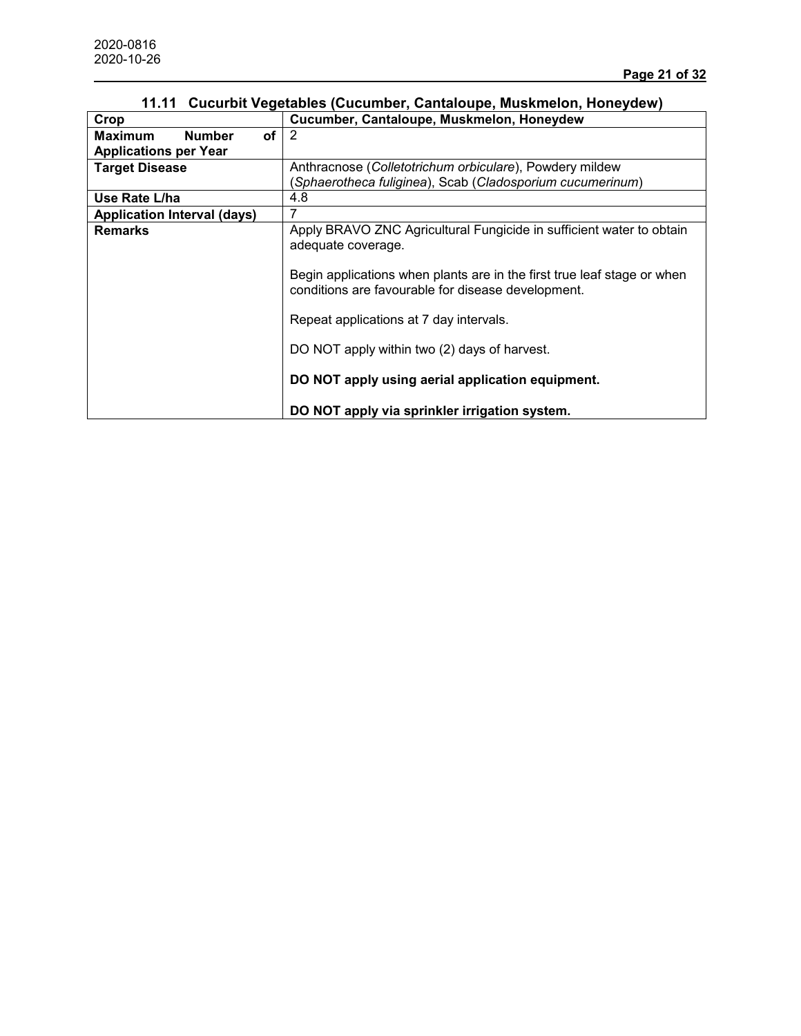| Crop                               | Cucumber, Cantaloupe, Muskmelon, Honeydew                               |
|------------------------------------|-------------------------------------------------------------------------|
| οf<br><b>Number</b><br>Maximum     | 2                                                                       |
| <b>Applications per Year</b>       |                                                                         |
| <b>Target Disease</b>              | Anthracnose (Colletotrichum orbiculare), Powdery mildew                 |
|                                    | (Sphaerotheca fuliginea), Scab (Cladosporium cucumerinum)               |
| Use Rate L/ha                      | 4.8                                                                     |
| <b>Application Interval (days)</b> |                                                                         |
| <b>Remarks</b>                     | Apply BRAVO ZNC Agricultural Fungicide in sufficient water to obtain    |
|                                    | adequate coverage.                                                      |
|                                    |                                                                         |
|                                    | Begin applications when plants are in the first true leaf stage or when |
|                                    | conditions are favourable for disease development.                      |
|                                    |                                                                         |
|                                    | Repeat applications at 7 day intervals.                                 |
|                                    | DO NOT apply within two (2) days of harvest.                            |
|                                    |                                                                         |
|                                    | DO NOT apply using aerial application equipment.                        |
|                                    | DO NOT apply via sprinkler irrigation system.                           |

# **11.11 Cucurbit Vegetables (Cucumber, Cantaloupe, Muskmelon, Honeydew)**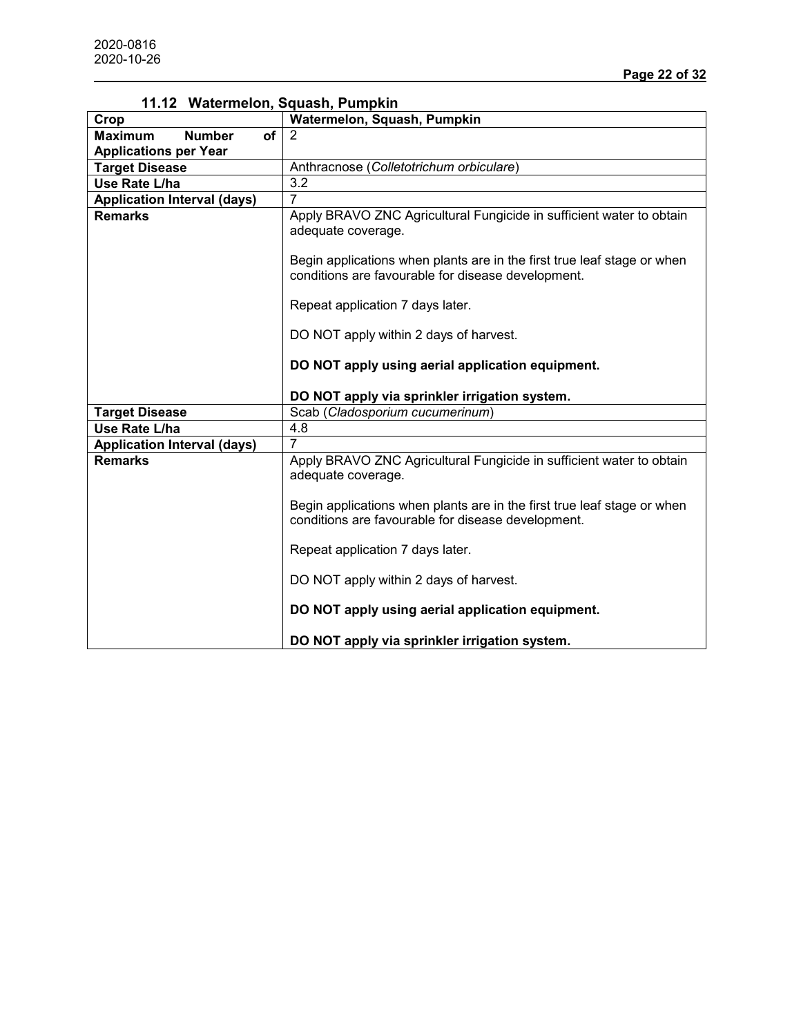| 11.12 Watermelon, Squash, Pumpkin            |                                                                                                                                                                       |
|----------------------------------------------|-----------------------------------------------------------------------------------------------------------------------------------------------------------------------|
| Crop                                         | Watermelon, Squash, Pumpkin                                                                                                                                           |
| <b>Number</b><br><b>Maximum</b><br><b>of</b> | 2                                                                                                                                                                     |
| <b>Applications per Year</b>                 |                                                                                                                                                                       |
| <b>Target Disease</b>                        | Anthracnose (Colletotrichum orbiculare)                                                                                                                               |
| Use Rate L/ha                                | 3.2                                                                                                                                                                   |
| <b>Application Interval (days)</b>           | 7                                                                                                                                                                     |
| <b>Remarks</b>                               | Apply BRAVO ZNC Agricultural Fungicide in sufficient water to obtain<br>adequate coverage.<br>Begin applications when plants are in the first true leaf stage or when |
|                                              | conditions are favourable for disease development.<br>Repeat application 7 days later.                                                                                |
|                                              | DO NOT apply within 2 days of harvest.<br>DO NOT apply using aerial application equipment.<br>DO NOT apply via sprinkler irrigation system.                           |
| <b>Target Disease</b>                        | Scab (Cladosporium cucumerinum)                                                                                                                                       |
| Use Rate L/ha                                | 4.8                                                                                                                                                                   |
| <b>Application Interval (days)</b>           | 7                                                                                                                                                                     |
| <b>Remarks</b>                               | Apply BRAVO ZNC Agricultural Fungicide in sufficient water to obtain<br>adequate coverage.                                                                            |
|                                              | Begin applications when plants are in the first true leaf stage or when<br>conditions are favourable for disease development.                                         |
|                                              | Repeat application 7 days later.                                                                                                                                      |
|                                              | DO NOT apply within 2 days of harvest.                                                                                                                                |
|                                              | DO NOT apply using aerial application equipment.                                                                                                                      |
|                                              | DO NOT apply via sprinkler irrigation system.                                                                                                                         |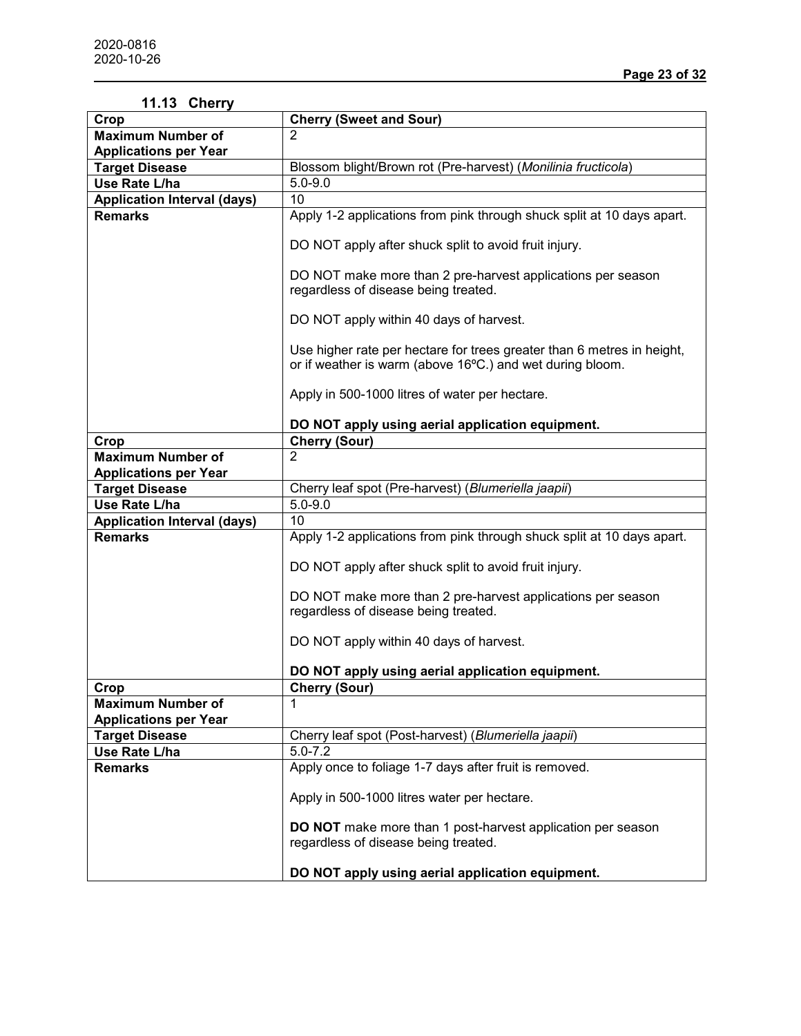| 11.13 Cherry                       |                                                                                                                                     |
|------------------------------------|-------------------------------------------------------------------------------------------------------------------------------------|
| Crop                               | <b>Cherry (Sweet and Sour)</b>                                                                                                      |
| <b>Maximum Number of</b>           | $\overline{2}$                                                                                                                      |
| <b>Applications per Year</b>       |                                                                                                                                     |
| <b>Target Disease</b>              | Blossom blight/Brown rot (Pre-harvest) (Monilinia fructicola)                                                                       |
| Use Rate L/ha                      | $5.0 - 9.0$                                                                                                                         |
| <b>Application Interval (days)</b> | 10                                                                                                                                  |
| <b>Remarks</b>                     | Apply 1-2 applications from pink through shuck split at 10 days apart.                                                              |
|                                    | DO NOT apply after shuck split to avoid fruit injury.                                                                               |
|                                    | DO NOT make more than 2 pre-harvest applications per season<br>regardless of disease being treated.                                 |
|                                    | DO NOT apply within 40 days of harvest.                                                                                             |
|                                    | Use higher rate per hectare for trees greater than 6 metres in height,<br>or if weather is warm (above 16°C.) and wet during bloom. |
|                                    | Apply in 500-1000 litres of water per hectare.                                                                                      |
|                                    | DO NOT apply using aerial application equipment.                                                                                    |
| Crop                               | Cherry (Sour)                                                                                                                       |
| <b>Maximum Number of</b>           | $\overline{2}$                                                                                                                      |
| <b>Applications per Year</b>       |                                                                                                                                     |
| <b>Target Disease</b>              | Cherry leaf spot (Pre-harvest) (Blumeriella jaapii)                                                                                 |
| Use Rate L/ha                      | $5.0 - 9.0$                                                                                                                         |
| <b>Application Interval (days)</b> | 10                                                                                                                                  |
| <b>Remarks</b>                     | Apply 1-2 applications from pink through shuck split at 10 days apart.                                                              |
|                                    |                                                                                                                                     |
|                                    | DO NOT apply after shuck split to avoid fruit injury.                                                                               |
|                                    | DO NOT make more than 2 pre-harvest applications per season                                                                         |
|                                    | regardless of disease being treated.                                                                                                |
|                                    | DO NOT apply within 40 days of harvest.                                                                                             |
|                                    | DO NOT apply using aerial application equipment.                                                                                    |
| Crop                               | <b>Cherry (Sour)</b>                                                                                                                |
| <b>Maximum Number of</b>           |                                                                                                                                     |
| <b>Applications per Year</b>       |                                                                                                                                     |
| <b>Target Disease</b>              | Cherry leaf spot (Post-harvest) (Blumeriella jaapii)                                                                                |
| Use Rate L/ha                      | $5.0 - 7.2$                                                                                                                         |
| <b>Remarks</b>                     | Apply once to foliage 1-7 days after fruit is removed.                                                                              |
|                                    |                                                                                                                                     |
|                                    | Apply in 500-1000 litres water per hectare.                                                                                         |
|                                    | DO NOT make more than 1 post-harvest application per season<br>regardless of disease being treated.                                 |
|                                    | DO NOT apply using aerial application equipment.                                                                                    |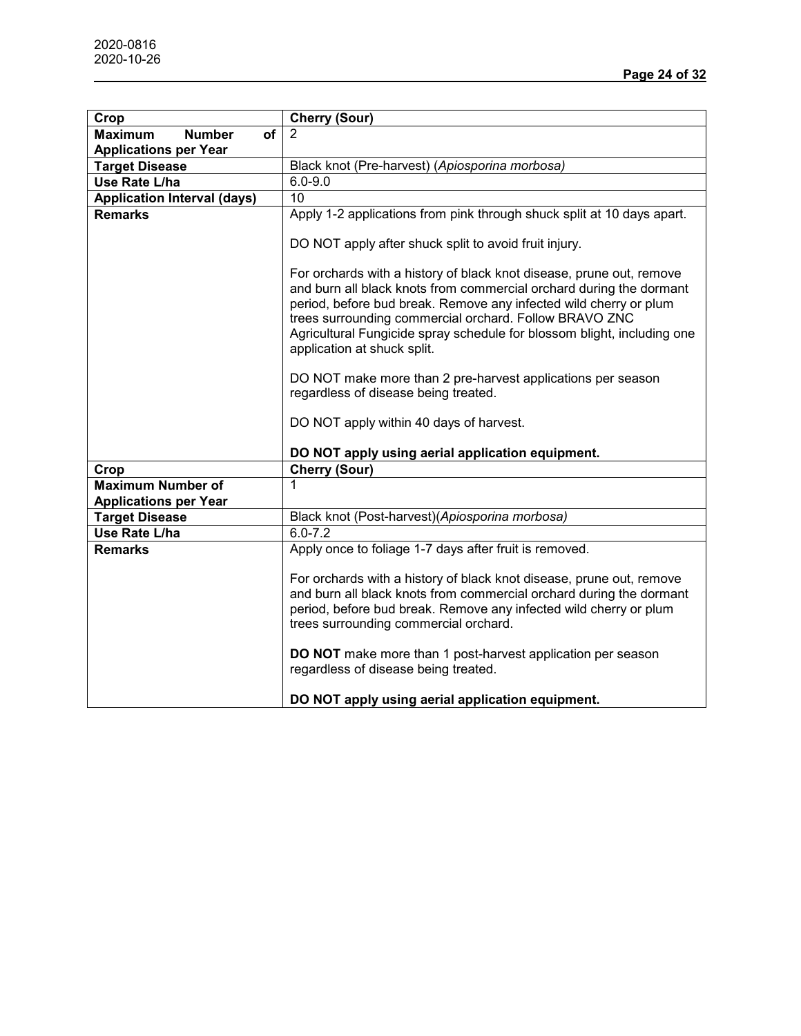| Crop                                         | <b>Cherry (Sour)</b>                                                                                                                                                                                                                                                                                                                                                                 |
|----------------------------------------------|--------------------------------------------------------------------------------------------------------------------------------------------------------------------------------------------------------------------------------------------------------------------------------------------------------------------------------------------------------------------------------------|
| <b>Maximum</b><br><b>Number</b><br><b>of</b> | 2                                                                                                                                                                                                                                                                                                                                                                                    |
| <b>Applications per Year</b>                 |                                                                                                                                                                                                                                                                                                                                                                                      |
| <b>Target Disease</b>                        | Black knot (Pre-harvest) (Apiosporina morbosa)                                                                                                                                                                                                                                                                                                                                       |
| Use Rate L/ha                                | $6.0 - 9.0$                                                                                                                                                                                                                                                                                                                                                                          |
| <b>Application Interval (days)</b>           | 10                                                                                                                                                                                                                                                                                                                                                                                   |
| <b>Remarks</b>                               | Apply 1-2 applications from pink through shuck split at 10 days apart.                                                                                                                                                                                                                                                                                                               |
|                                              | DO NOT apply after shuck split to avoid fruit injury.                                                                                                                                                                                                                                                                                                                                |
|                                              | For orchards with a history of black knot disease, prune out, remove<br>and burn all black knots from commercial orchard during the dormant<br>period, before bud break. Remove any infected wild cherry or plum<br>trees surrounding commercial orchard. Follow BRAVO ZNC<br>Agricultural Fungicide spray schedule for blossom blight, including one<br>application at shuck split. |
|                                              | DO NOT make more than 2 pre-harvest applications per season<br>regardless of disease being treated.                                                                                                                                                                                                                                                                                  |
|                                              | DO NOT apply within 40 days of harvest.                                                                                                                                                                                                                                                                                                                                              |
|                                              | DO NOT apply using aerial application equipment.                                                                                                                                                                                                                                                                                                                                     |
| Crop                                         | <b>Cherry (Sour)</b>                                                                                                                                                                                                                                                                                                                                                                 |
| <b>Maximum Number of</b>                     |                                                                                                                                                                                                                                                                                                                                                                                      |
| <b>Applications per Year</b>                 |                                                                                                                                                                                                                                                                                                                                                                                      |
| <b>Target Disease</b>                        | Black knot (Post-harvest) (Apiosporina morbosa)                                                                                                                                                                                                                                                                                                                                      |
| Use Rate L/ha                                | $6.0 - 7.2$                                                                                                                                                                                                                                                                                                                                                                          |
| <b>Remarks</b>                               | Apply once to foliage 1-7 days after fruit is removed.                                                                                                                                                                                                                                                                                                                               |
|                                              | For orchards with a history of black knot disease, prune out, remove<br>and burn all black knots from commercial orchard during the dormant<br>period, before bud break. Remove any infected wild cherry or plum<br>trees surrounding commercial orchard.<br><b>DO NOT</b> make more than 1 post-harvest application per season                                                      |
|                                              | regardless of disease being treated.                                                                                                                                                                                                                                                                                                                                                 |
|                                              | DO NOT apply using aerial application equipment.                                                                                                                                                                                                                                                                                                                                     |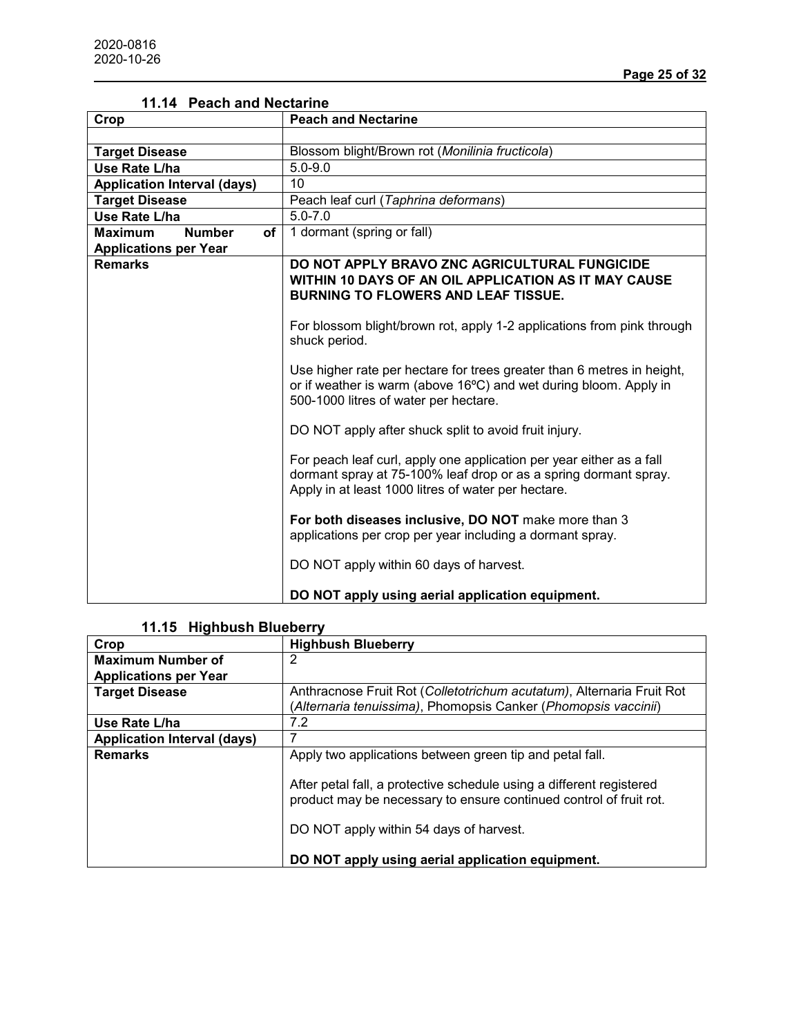| Crop                                                                  | <b>Peach and Nectarine</b>                                                                                                                                                                      |
|-----------------------------------------------------------------------|-------------------------------------------------------------------------------------------------------------------------------------------------------------------------------------------------|
|                                                                       |                                                                                                                                                                                                 |
| <b>Target Disease</b>                                                 | Blossom blight/Brown rot (Monilinia fructicola)                                                                                                                                                 |
| Use Rate L/ha                                                         | $5.0 - 9.0$                                                                                                                                                                                     |
| <b>Application Interval (days)</b>                                    | 10                                                                                                                                                                                              |
| <b>Target Disease</b>                                                 | Peach leaf curl (Taphrina deformans)                                                                                                                                                            |
| Use Rate L/ha                                                         | $5.0 - 7.0$                                                                                                                                                                                     |
| <b>Number</b><br>of<br><b>Maximum</b><br><b>Applications per Year</b> | 1 dormant (spring or fall)                                                                                                                                                                      |
| <b>Remarks</b>                                                        | DO NOT APPLY BRAVO ZNC AGRICULTURAL FUNGICIDE<br>WITHIN 10 DAYS OF AN OIL APPLICATION AS IT MAY CAUSE<br><b>BURNING TO FLOWERS AND LEAF TISSUE.</b>                                             |
|                                                                       | For blossom blight/brown rot, apply 1-2 applications from pink through<br>shuck period.                                                                                                         |
|                                                                       | Use higher rate per hectare for trees greater than 6 metres in height,<br>or if weather is warm (above 16°C) and wet during bloom. Apply in<br>500-1000 litres of water per hectare.            |
|                                                                       | DO NOT apply after shuck split to avoid fruit injury.                                                                                                                                           |
|                                                                       | For peach leaf curl, apply one application per year either as a fall<br>dormant spray at 75-100% leaf drop or as a spring dormant spray.<br>Apply in at least 1000 litres of water per hectare. |
|                                                                       | For both diseases inclusive, DO NOT make more than 3<br>applications per crop per year including a dormant spray.                                                                               |
|                                                                       | DO NOT apply within 60 days of harvest.                                                                                                                                                         |
|                                                                       | DO NOT apply using aerial application equipment.                                                                                                                                                |

# **11.14 Peach and Nectarine**

# **11.15 Highbush Blueberry**

| Crop                               | <b>Highbush Blueberry</b>                                                                                                                                                             |
|------------------------------------|---------------------------------------------------------------------------------------------------------------------------------------------------------------------------------------|
| <b>Maximum Number of</b>           |                                                                                                                                                                                       |
| <b>Applications per Year</b>       |                                                                                                                                                                                       |
| <b>Target Disease</b>              | Anthracnose Fruit Rot (Colletotrichum acutatum), Alternaria Fruit Rot                                                                                                                 |
|                                    | (Alternaria tenuissima), Phomopsis Canker (Phomopsis vaccinii)                                                                                                                        |
| Use Rate L/ha                      | 7.2                                                                                                                                                                                   |
| <b>Application Interval (days)</b> |                                                                                                                                                                                       |
| <b>Remarks</b>                     | Apply two applications between green tip and petal fall.                                                                                                                              |
|                                    | After petal fall, a protective schedule using a different registered<br>product may be necessary to ensure continued control of fruit rot.<br>DO NOT apply within 54 days of harvest. |
|                                    | DO NOT apply using aerial application equipment.                                                                                                                                      |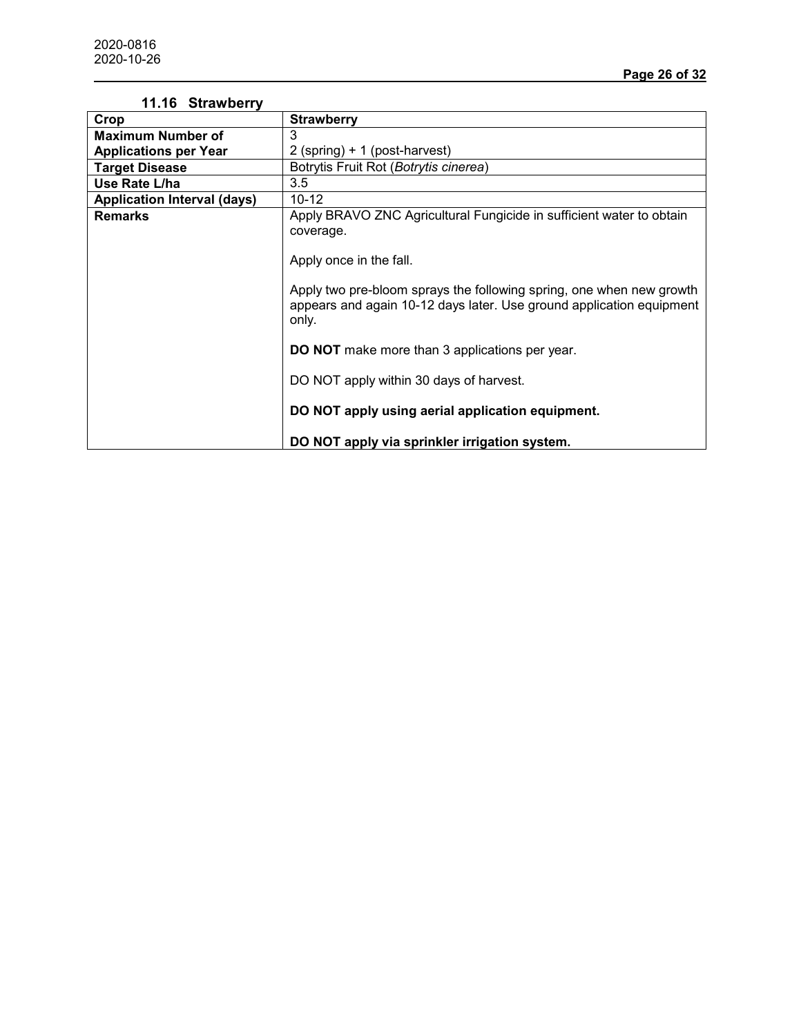| 11.16 Strawberry                   |                                                                                                                                                                                                                                                                       |
|------------------------------------|-----------------------------------------------------------------------------------------------------------------------------------------------------------------------------------------------------------------------------------------------------------------------|
| Crop                               | Strawberry                                                                                                                                                                                                                                                            |
| <b>Maximum Number of</b>           | 3                                                                                                                                                                                                                                                                     |
| <b>Applications per Year</b>       | 2 (spring) + 1 (post-harvest)                                                                                                                                                                                                                                         |
| <b>Target Disease</b>              | Botrytis Fruit Rot (Botrytis cinerea)                                                                                                                                                                                                                                 |
| Use Rate L/ha                      | 3.5                                                                                                                                                                                                                                                                   |
| <b>Application Interval (days)</b> | $10 - 12$                                                                                                                                                                                                                                                             |
| <b>Remarks</b>                     | Apply BRAVO ZNC Agricultural Fungicide in sufficient water to obtain<br>coverage.<br>Apply once in the fall.<br>Apply two pre-bloom sprays the following spring, one when new growth<br>appears and again 10-12 days later. Use ground application equipment<br>only. |
|                                    | <b>DO NOT</b> make more than 3 applications per year.<br>DO NOT apply within 30 days of harvest.<br>DO NOT apply using aerial application equipment.<br>DO NOT apply via sprinkler irrigation system.                                                                 |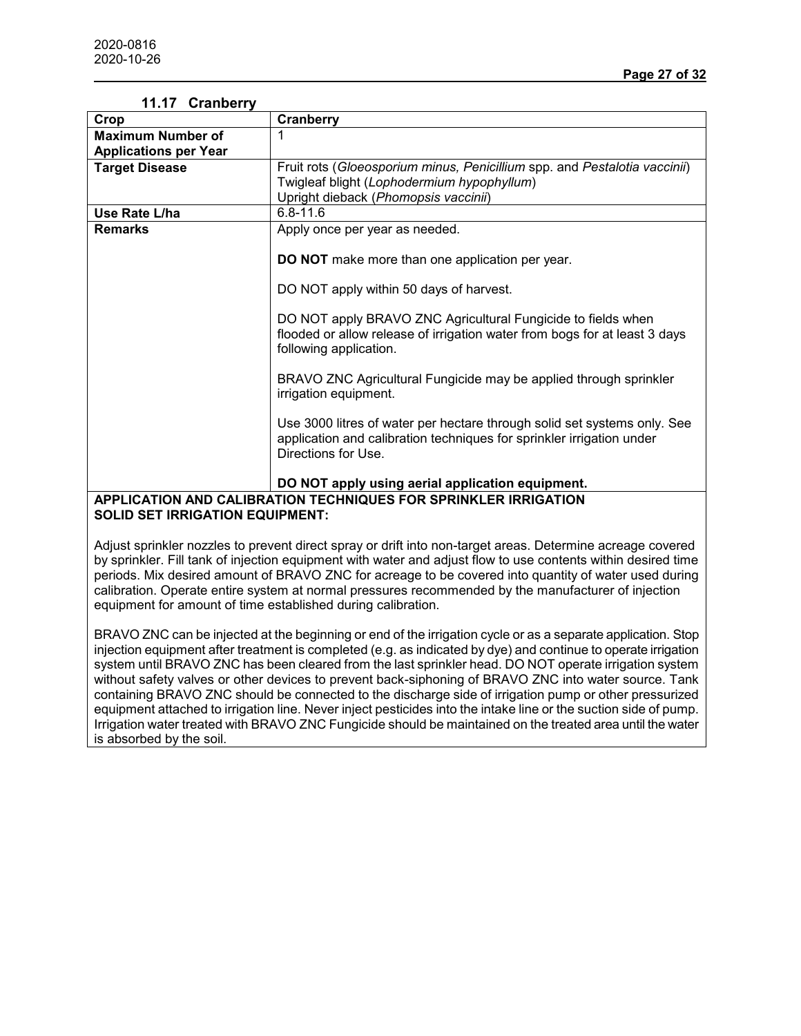| 11.17 Granberry                        |                                                                                                                                                                          |
|----------------------------------------|--------------------------------------------------------------------------------------------------------------------------------------------------------------------------|
| Crop                                   | <b>Cranberry</b>                                                                                                                                                         |
| <b>Maximum Number of</b>               |                                                                                                                                                                          |
| <b>Applications per Year</b>           |                                                                                                                                                                          |
| <b>Target Disease</b>                  | Fruit rots (Gloeosporium minus, Penicillium spp. and Pestalotia vaccinii)                                                                                                |
|                                        | Twigleaf blight (Lophodermium hypophyllum)                                                                                                                               |
|                                        | Upright dieback (Phomopsis vaccinii)                                                                                                                                     |
| Use Rate L/ha                          | $6.8 - 11.6$                                                                                                                                                             |
| <b>Remarks</b>                         | Apply once per year as needed.                                                                                                                                           |
|                                        |                                                                                                                                                                          |
|                                        | <b>DO NOT</b> make more than one application per year.                                                                                                                   |
|                                        |                                                                                                                                                                          |
|                                        | DO NOT apply within 50 days of harvest.                                                                                                                                  |
|                                        | DO NOT apply BRAVO ZNC Agricultural Fungicide to fields when<br>flooded or allow release of irrigation water from bogs for at least 3 days<br>following application.     |
|                                        | BRAVO ZNC Agricultural Fungicide may be applied through sprinkler<br>irrigation equipment.                                                                               |
|                                        | Use 3000 litres of water per hectare through solid set systems only. See<br>application and calibration techniques for sprinkler irrigation under<br>Directions for Use. |
|                                        | DO NOT apply using aerial application equipment.                                                                                                                         |
|                                        | APPLICATION AND CALIBRATION TECHNIQUES FOR SPRINKLER IRRIGATION                                                                                                          |
| <b>SOLID SET IRRIGATION EQUIPMENT:</b> |                                                                                                                                                                          |
|                                        |                                                                                                                                                                          |

### **11.17 Cranberry**

Adjust sprinkler nozzles to prevent direct spray or drift into non-target areas. Determine acreage covered by sprinkler. Fill tank of injection equipment with water and adjust flow to use contents within desired time periods. Mix desired amount of BRAVO ZNC for acreage to be covered into quantity of water used during calibration. Operate entire system at normal pressures recommended by the manufacturer of injection equipment for amount of time established during calibration.

BRAVO ZNC can be injected at the beginning or end of the irrigation cycle or as a separate application. Stop injection equipment after treatment is completed (e.g. as indicated by dye) and continue to operate irrigation system until BRAVO ZNC has been cleared from the last sprinkler head. DO NOT operate irrigation system without safety valves or other devices to prevent back-siphoning of BRAVO ZNC into water source. Tank containing BRAVO ZNC should be connected to the discharge side of irrigation pump or other pressurized equipment attached to irrigation line. Never inject pesticides into the intake line or the suction side of pump. Irrigation water treated with BRAVO ZNC Fungicide should be maintained on the treated area until the water is absorbed by the soil.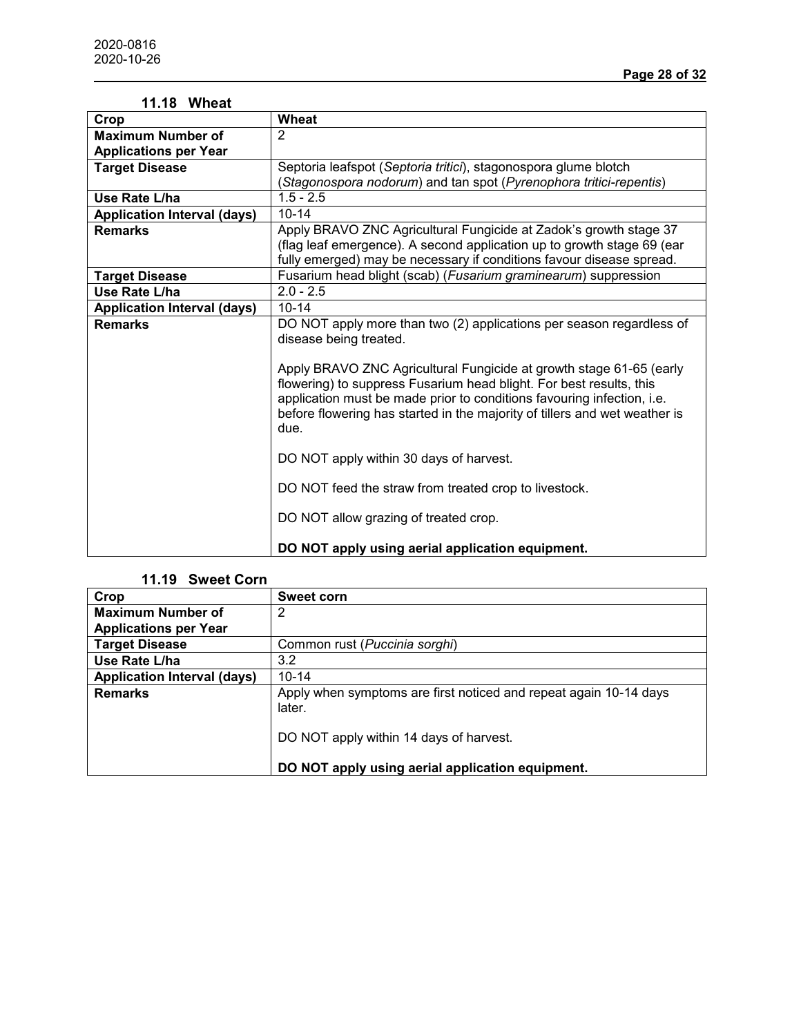| 11.18 Wheat                        |                                                                            |
|------------------------------------|----------------------------------------------------------------------------|
| Crop                               | <b>Wheat</b>                                                               |
| <b>Maximum Number of</b>           | $\overline{2}$                                                             |
| <b>Applications per Year</b>       |                                                                            |
| <b>Target Disease</b>              | Septoria leafspot (Septoria tritici), stagonospora glume blotch            |
|                                    | (Stagonospora nodorum) and tan spot (Pyrenophora tritici-repentis)         |
| Use Rate L/ha                      | $1.5 - 2.5$                                                                |
| <b>Application Interval (days)</b> | $10 - 14$                                                                  |
| <b>Remarks</b>                     | Apply BRAVO ZNC Agricultural Fungicide at Zadok's growth stage 37          |
|                                    | (flag leaf emergence). A second application up to growth stage 69 (ear     |
|                                    | fully emerged) may be necessary if conditions favour disease spread.       |
| <b>Target Disease</b>              | Fusarium head blight (scab) (Fusarium graminearum) suppression             |
| Use Rate L/ha                      | $2.0 - 2.5$                                                                |
| <b>Application Interval (days)</b> | $10 - 14$                                                                  |
| <b>Remarks</b>                     | DO NOT apply more than two (2) applications per season regardless of       |
|                                    | disease being treated.                                                     |
|                                    |                                                                            |
|                                    | Apply BRAVO ZNC Agricultural Fungicide at growth stage 61-65 (early        |
|                                    | flowering) to suppress Fusarium head blight. For best results, this        |
|                                    | application must be made prior to conditions favouring infection, i.e.     |
|                                    | before flowering has started in the majority of tillers and wet weather is |
|                                    | due.                                                                       |
|                                    | DO NOT apply within 30 days of harvest.                                    |
|                                    |                                                                            |
|                                    | DO NOT feed the straw from treated crop to livestock.                      |
|                                    |                                                                            |
|                                    | DO NOT allow grazing of treated crop.                                      |
|                                    |                                                                            |
|                                    | DO NOT apply using aerial application equipment.                           |

#### **11.19 Sweet Corn**

| Crop                               | <b>Sweet corn</b>                                                           |
|------------------------------------|-----------------------------------------------------------------------------|
| <b>Maximum Number of</b>           | 2                                                                           |
| <b>Applications per Year</b>       |                                                                             |
| <b>Target Disease</b>              | Common rust (Puccinia sorghi)                                               |
| Use Rate L/ha                      | 3.2                                                                         |
| <b>Application Interval (days)</b> | $10 - 14$                                                                   |
| <b>Remarks</b>                     | Apply when symptoms are first noticed and repeat again 10-14 days<br>later. |
|                                    | DO NOT apply within 14 days of harvest.                                     |
|                                    | DO NOT apply using aerial application equipment.                            |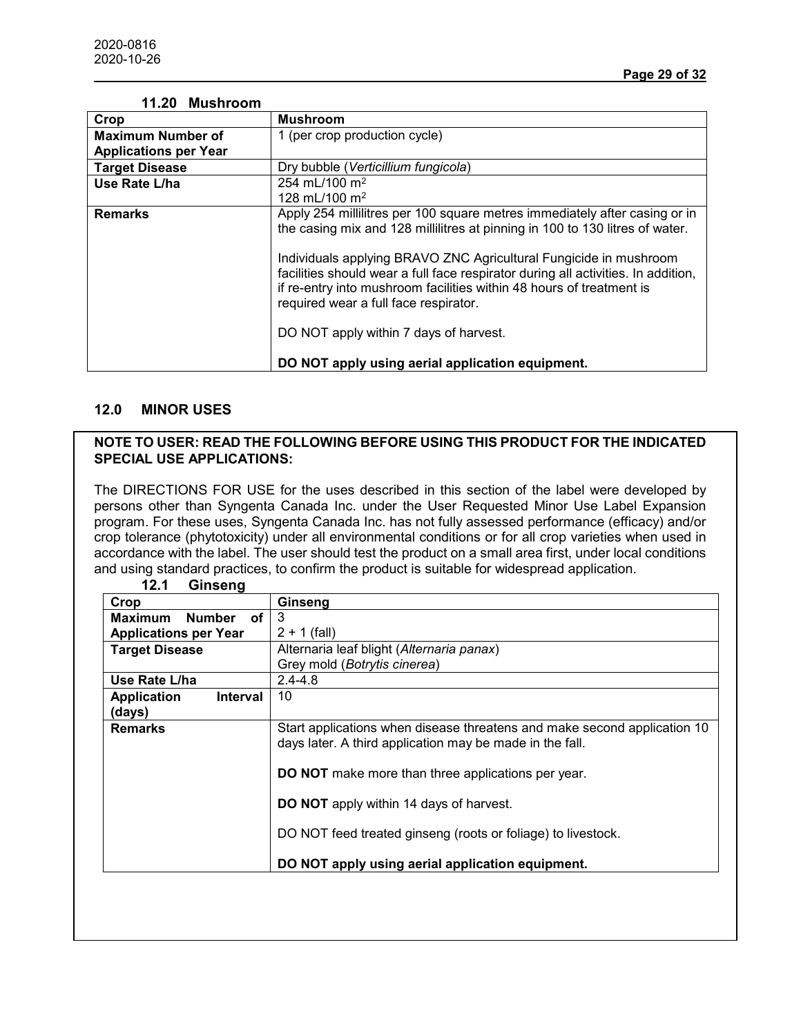| TI.ZU MUSNIOOM               |                                                                                                                                                                                                                                                                                                                                                                                                                                       |
|------------------------------|---------------------------------------------------------------------------------------------------------------------------------------------------------------------------------------------------------------------------------------------------------------------------------------------------------------------------------------------------------------------------------------------------------------------------------------|
| Crop                         | <b>Mushroom</b>                                                                                                                                                                                                                                                                                                                                                                                                                       |
| <b>Maximum Number of</b>     | 1 (per crop production cycle)                                                                                                                                                                                                                                                                                                                                                                                                         |
| <b>Applications per Year</b> |                                                                                                                                                                                                                                                                                                                                                                                                                                       |
| <b>Target Disease</b>        | Dry bubble (Verticillium fungicola)                                                                                                                                                                                                                                                                                                                                                                                                   |
| Use Rate L/ha                | 254 mL/100 m <sup>2</sup>                                                                                                                                                                                                                                                                                                                                                                                                             |
|                              | 128 mL/100 m <sup>2</sup>                                                                                                                                                                                                                                                                                                                                                                                                             |
| <b>Remarks</b>               | Apply 254 millilitres per 100 square metres immediately after casing or in<br>the casing mix and 128 millilitres at pinning in 100 to 130 litres of water.<br>Individuals applying BRAVO ZNC Agricultural Fungicide in mushroom<br>facilities should wear a full face respirator during all activities. In addition,<br>if re-entry into mushroom facilities within 48 hours of treatment is<br>required wear a full face respirator. |
|                              | DO NOT apply within 7 days of harvest.<br>DO NOT apply using aerial application equipment.                                                                                                                                                                                                                                                                                                                                            |

# **11.20 Mushroom**

### **12.0 MINOR USES**

#### **NOTE TO USER: READ THE FOLLOWING BEFORE USING THIS PRODUCT FOR THE INDICATED SPECIAL USE APPLICATIONS:**

The DIRECTIONS FOR USE for the uses described in this section of the label were developed by persons other than Syngenta Canada Inc. under the User Requested Minor Use Label Expansion program. For these uses, Syngenta Canada Inc. has not fully assessed performance (efficacy) and/or crop tolerance (phytotoxicity) under all environmental conditions or for all crop varieties when used in accordance with the label. The user should test the product on a small area first, under local conditions and using standard practices, to confirm the product is suitable for widespread application.

| 12.1<br>Ginseng                |                                                                          |
|--------------------------------|--------------------------------------------------------------------------|
| Crop                           | Ginseng                                                                  |
| <b>Maximum</b><br>Number<br>0f | 3                                                                        |
| <b>Applications per Year</b>   | $2 + 1$ (fall)                                                           |
| <b>Target Disease</b>          | Alternaria leaf blight (Alternaria panax)                                |
|                                | Grey mold (Botrytis cinerea)                                             |
| Use Rate L/ha                  | $2.4 - 4.8$                                                              |
| <b>Application</b><br>Interval | 10                                                                       |
| (days)                         |                                                                          |
| <b>Remarks</b>                 | Start applications when disease threatens and make second application 10 |
|                                | days later. A third application may be made in the fall.                 |
|                                |                                                                          |
|                                | <b>DO NOT</b> make more than three applications per year.                |
|                                | <b>DO NOT</b> apply within 14 days of harvest.                           |
|                                |                                                                          |
|                                | DO NOT feed treated ginseng (roots or foliage) to livestock.             |
|                                |                                                                          |
|                                | DO NOT apply using aerial application equipment.                         |
|                                |                                                                          |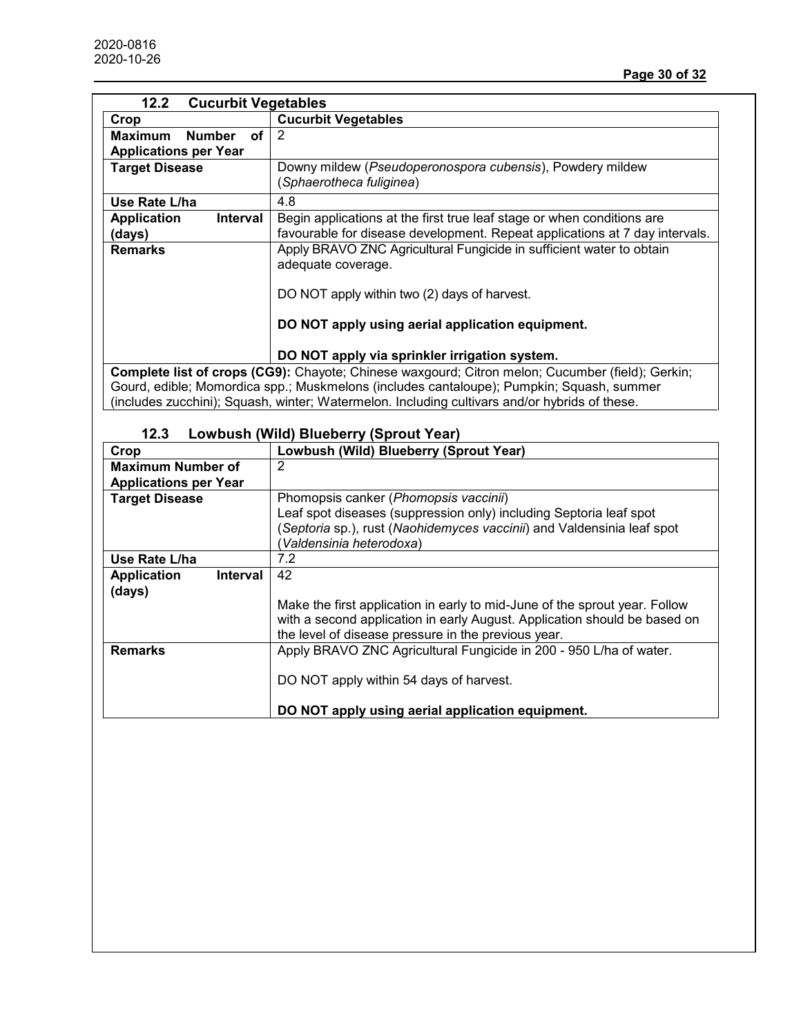| 12.2<br><b>Cucurbit Vegetables</b>    |                                                                                                  |  |
|---------------------------------------|--------------------------------------------------------------------------------------------------|--|
| Crop                                  | <b>Cucurbit Vegetables</b>                                                                       |  |
| Οf<br><b>Maximum</b><br><b>Number</b> | 2                                                                                                |  |
| <b>Applications per Year</b>          |                                                                                                  |  |
| <b>Target Disease</b>                 | Downy mildew (Pseudoperonospora cubensis), Powdery mildew<br>(Sphaerotheca fuliginea)            |  |
| Use Rate L/ha                         | 4.8                                                                                              |  |
| <b>Application</b><br><b>Interval</b> | Begin applications at the first true leaf stage or when conditions are                           |  |
| (days)                                | favourable for disease development. Repeat applications at 7 day intervals.                      |  |
| <b>Remarks</b>                        | Apply BRAVO ZNC Agricultural Fungicide in sufficient water to obtain                             |  |
|                                       | adequate coverage.                                                                               |  |
|                                       |                                                                                                  |  |
|                                       | DO NOT apply within two (2) days of harvest.                                                     |  |
|                                       | DO NOT apply using aerial application equipment.                                                 |  |
|                                       | DO NOT apply via sprinkler irrigation system.                                                    |  |
|                                       | Complete list of crops (CG9): Chayote; Chinese waxgourd; Citron melon; Cucumber (field); Gerkin; |  |
|                                       | Gourd, edible; Momordica spp.; Muskmelons (includes cantaloupe); Pumpkin; Squash, summer         |  |

(includes zucchini); Squash, winter; Watermelon. Including cultivars and/or hybrids of these.

| 12.3 | Lowbush (Wild) Blueberry (Sprout Year) |  |                                           |  |
|------|----------------------------------------|--|-------------------------------------------|--|
| חר   |                                        |  | <u>Ll owbush (Wild) Blueberry (Sprout</u> |  |

| Crop                           | Lowbush (Wild) Blueberry (Sprout Year)                                     |
|--------------------------------|----------------------------------------------------------------------------|
| <b>Maximum Number of</b>       | 2                                                                          |
| <b>Applications per Year</b>   |                                                                            |
| <b>Target Disease</b>          | Phomopsis canker (Phomopsis vaccinii)                                      |
|                                | Leaf spot diseases (suppression only) including Septoria leaf spot         |
|                                | (Septoria sp.), rust (Naohidemyces vaccinii) and Valdensinia leaf spot     |
|                                | (Valdensinia heterodoxa)                                                   |
| Use Rate L/ha                  | 7.2                                                                        |
| <b>Application</b><br>Interval | 42                                                                         |
| (days)                         |                                                                            |
|                                | Make the first application in early to mid-June of the sprout year. Follow |
|                                | with a second application in early August. Application should be based on  |
|                                | the level of disease pressure in the previous year.                        |
| <b>Remarks</b>                 | Apply BRAVO ZNC Agricultural Fungicide in 200 - 950 L/ha of water.         |
|                                |                                                                            |
|                                | DO NOT apply within 54 days of harvest.                                    |
|                                |                                                                            |
|                                | DO NOT apply using aerial application equipment.                           |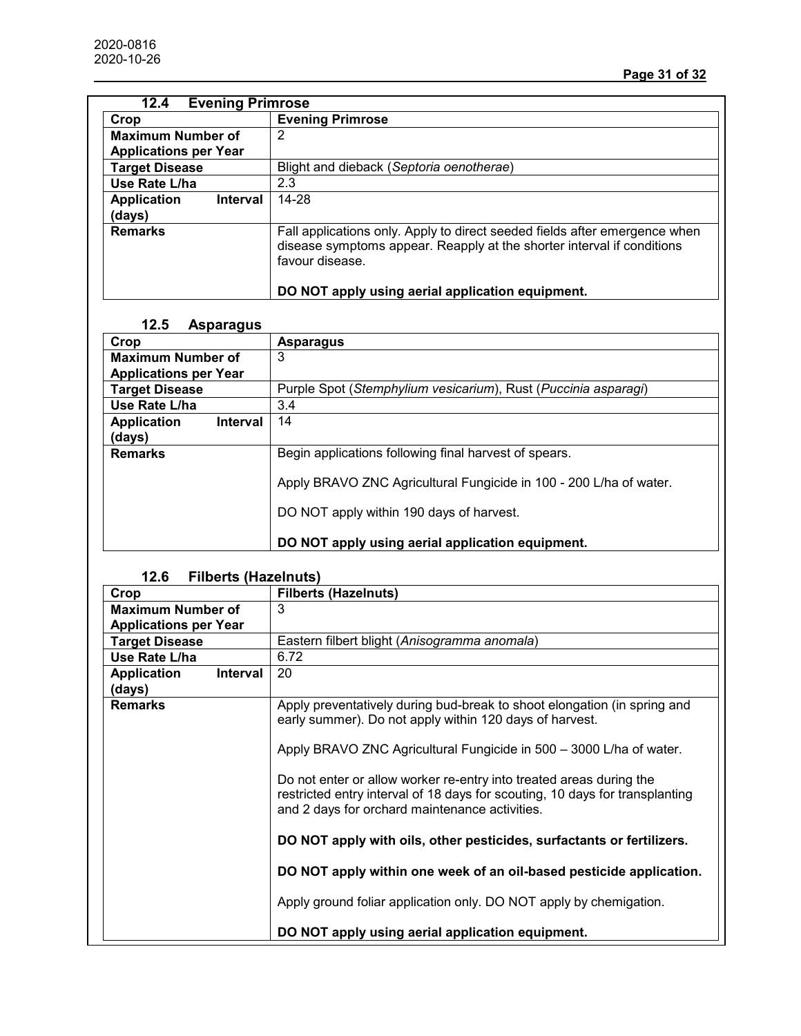| <b>Evening Primrose</b><br>12.4       |                                                                                                                                                                         |  |
|---------------------------------------|-------------------------------------------------------------------------------------------------------------------------------------------------------------------------|--|
| Crop                                  | <b>Evening Primrose</b>                                                                                                                                                 |  |
| <b>Maximum Number of</b>              | 2                                                                                                                                                                       |  |
| <b>Applications per Year</b>          |                                                                                                                                                                         |  |
| <b>Target Disease</b>                 | Blight and dieback (Septoria oenotherae)                                                                                                                                |  |
| Use Rate L/ha                         | 2.3                                                                                                                                                                     |  |
| <b>Application</b><br><b>Interval</b> | 14-28                                                                                                                                                                   |  |
| (days)                                |                                                                                                                                                                         |  |
| <b>Remarks</b>                        | Fall applications only. Apply to direct seeded fields after emergence when<br>disease symptoms appear. Reapply at the shorter interval if conditions<br>favour disease. |  |
|                                       | DO NOT apply using aerial application equipment.                                                                                                                        |  |

# **12.5 Asparagus**

| Crop                                  | <b>Asparagus</b>                                                                                               |
|---------------------------------------|----------------------------------------------------------------------------------------------------------------|
| <b>Maximum Number of</b>              | 3                                                                                                              |
| <b>Applications per Year</b>          |                                                                                                                |
| <b>Target Disease</b>                 | Purple Spot (Stemphylium vesicarium), Rust (Puccinia asparagi)                                                 |
| Use Rate L/ha                         | 3.4                                                                                                            |
| <b>Application</b><br><b>Interval</b> | 14                                                                                                             |
| (days)                                |                                                                                                                |
| <b>Remarks</b>                        | Begin applications following final harvest of spears.                                                          |
|                                       | Apply BRAVO ZNC Agricultural Fungicide in 100 - 200 L/ha of water.<br>DO NOT apply within 190 days of harvest. |
|                                       | DO NOT apply using aerial application equipment.                                                               |

# **12.6 Filberts (Hazelnuts)**

| Crop                         |                 | <b>Filberts (Hazelnuts)</b>                                                                                                                                                                           |
|------------------------------|-----------------|-------------------------------------------------------------------------------------------------------------------------------------------------------------------------------------------------------|
| <b>Maximum Number of</b>     |                 | 3                                                                                                                                                                                                     |
| <b>Applications per Year</b> |                 |                                                                                                                                                                                                       |
| <b>Target Disease</b>        |                 | Eastern filbert blight (Anisogramma anomala)                                                                                                                                                          |
| Use Rate L/ha                |                 | 6.72                                                                                                                                                                                                  |
| <b>Application</b>           | <b>Interval</b> | 20                                                                                                                                                                                                    |
| (days)                       |                 |                                                                                                                                                                                                       |
| <b>Remarks</b>               |                 | Apply preventatively during bud-break to shoot elongation (in spring and<br>early summer). Do not apply within 120 days of harvest.                                                                   |
|                              |                 | Apply BRAVO ZNC Agricultural Fungicide in 500 - 3000 L/ha of water.                                                                                                                                   |
|                              |                 | Do not enter or allow worker re-entry into treated areas during the<br>restricted entry interval of 18 days for scouting, 10 days for transplanting<br>and 2 days for orchard maintenance activities. |
|                              |                 | DO NOT apply with oils, other pesticides, surfactants or fertilizers.                                                                                                                                 |
|                              |                 | DO NOT apply within one week of an oil-based pesticide application.                                                                                                                                   |
|                              |                 | Apply ground foliar application only. DO NOT apply by chemigation.                                                                                                                                    |
|                              |                 | DO NOT apply using aerial application equipment.                                                                                                                                                      |